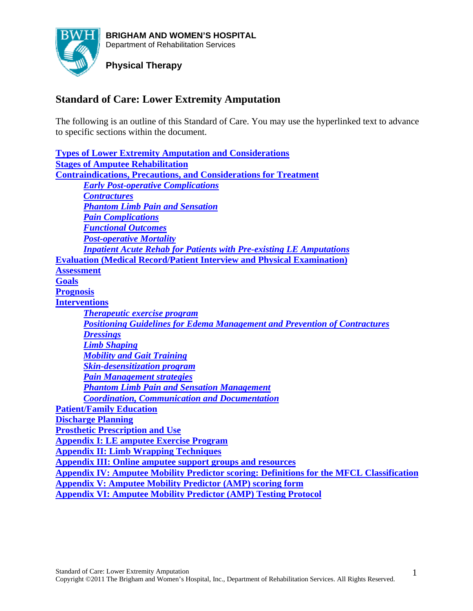

# **Physical Therapy**

# **Standard of Care: Lower Extremity Amputation**

The following is an outline of this Standard of Care. You may use the hyperlinked text to advance to specific sections within the document.

**Types of Lower Extremity Amputation and Considerations Stages of Amputee Rehabilitation Contraindications, Precautions, and Considerations for Treatment** *Early Post-operative Complications Contractures Phantom Limb Pain and Sensation Pain Complications Functional Outcomes Post-operative Mortality Inpatient Acute Rehab for Patients with Pre-existing LE Amputations* **Evaluation (Medical Record/Patient Interview and Physical Examination) Assessment Goals Prognosis Interventions** *Therapeutic exercise program Positioning Guidelines for Edema Management and Prevention of Contractures Dressings Limb Shaping Mobility and Gait Training Skin-desensitization program Pain Management strategies Phantom Limb Pain and Sensation Management Coordination, Communication and Documentation* **Patient/Family Education Discharge Planning Prosthetic Prescription and Use Appendix I: LE amputee Exercise Program Appendix II: Limb Wrapping Techniques Appendix III: Online amputee support groups and resources Appendix IV: Amputee Mobility Predictor scoring: Definitions for the MFCL Classification Appendix V: Amputee Mobility Predictor (AMP) scoring form Appendix VI: Amputee Mobility Predictor (AMP) Testing Protocol**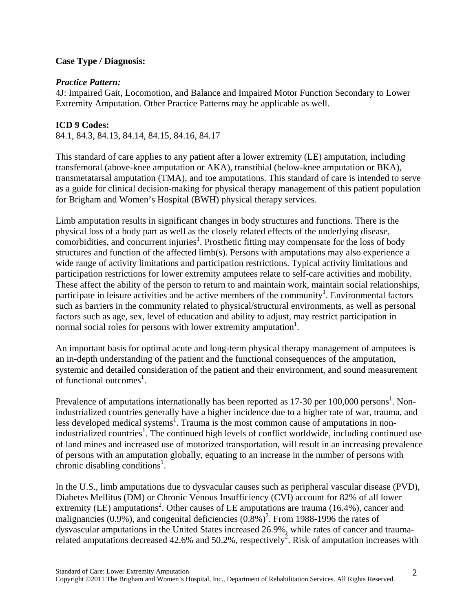## **Case Type / Diagnosis:**

#### *Practice Pattern:*

4J: Impaired Gait, Locomotion, and Balance and Impaired Motor Function Secondary to Lower Extremity Amputation. Other Practice Patterns may be applicable as well.

## **ICD 9 Codes:**

84.1, 84.3, 84.13, 84.14, 84.15, 84.16, 84.17

This standard of care applies to any patient after a lower extremity (LE) amputation, including transfemoral (above-knee amputation or AKA), transtibial (below-knee amputation or BKA), transmetatarsal amputation (TMA), and toe amputations. This standard of care is intended to serve as a guide for clinical decision-making for physical therapy management of this patient population for Brigham and Women's Hospital (BWH) physical therapy services.

Limb amputation results in significant changes in body structures and functions. There is the physical loss of a body part as well as the closely related effects of the underlying disease, comorbidities, and concurrent injuries<sup>1</sup>. Prosthetic fitting may compensate for the loss of body structures and function of the affected limb(s). Persons with amputations may also experience a wide range of activity limitations and participation restrictions. Typical activity limitations and participation restrictions for lower extremity amputees relate to self-care activities and mobility. These affect the ability of the person to return to and maintain work, maintain social relationships, participate in leisure activities and be active members of the community<sup>1</sup>. Environmental factors such as barriers in the community related to physical/structural environments, as well as personal factors such as age, sex, level of education and ability to adjust, may restrict participation in normal social roles for persons with lower extremity amputation<sup>1</sup>.

An important basis for optimal acute and long-term physical therapy management of amputees is an in-depth understanding of the patient and the functional consequences of the amputation, systemic and detailed consideration of the patient and their environment, and sound measurement of functional outcomes<sup>1</sup>.

Prevalence of amputations internationally has been reported as  $17-30$  per  $100,000$  persons<sup>1</sup>. Nonindustrialized countries generally have a higher incidence due to a higher rate of war, trauma, and less developed medical systems<sup>1</sup>. Trauma is the most common cause of amputations in nonindustrialized countries<sup>1</sup>. The continued high levels of conflict worldwide, including continued use of land mines and increased use of motorized transportation, will result in an increasing prevalence of persons with an amputation globally, equating to an increase in the number of persons with chronic disabling conditions<sup>1</sup>.

In the U.S., limb amputations due to dysvacular causes such as peripheral vascular disease (PVD), Diabetes Mellitus (DM) or Chronic Venous Insufficiency (CVI) account for 82% of all lower extremity (LE) amputations<sup>2</sup>. Other causes of LE amputations are trauma (16.4%), cancer and malignancies (0.9%), and congenital deficiencies  $(0.8\%)^2$ . From 1988-1996 the rates of dysvascular amputations in the United States increased 26.9%, while rates of cancer and traumarelated amputations decreased 42.6% and 50.2%, respectively<sup>2</sup>. Risk of amputation increases with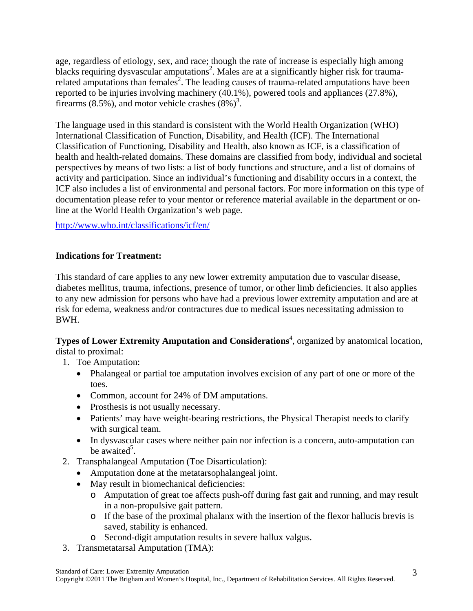age, regardless of etiology, sex, and race; though the rate of increase is especially high among blacks requiring dysvascular amputations<sup>2</sup>. Males are at a significantly higher risk for traumarelated amputations than females<sup>2</sup>. The leading causes of trauma-related amputations have been reported to be injuries involving machinery (40.1%), powered tools and appliances (27.8%), firearms  $(8.5\%)$ , and motor vehicle crashes  $(8\%)^3$ .

The language used in this standard is consistent with the World Health Organization (WHO) International Classification of Function, Disability, and Health (ICF). The International Classification of Functioning, Disability and Health, also known as ICF, is a classification of health and health-related domains. These domains are classified from body, individual and societal perspectives by means of two lists: a list of body functions and structure, and a list of domains of activity and participation. Since an individual's functioning and disability occurs in a context, the ICF also includes a list of environmental and personal factors. For more information on this type of documentation please refer to your mentor or reference material available in the department or online at the World Health Organization's web page.

http://www.who.int/classifications/icf/en/

## **Indications for Treatment:**

This standard of care applies to any new lower extremity amputation due to vascular disease, diabetes mellitus, trauma, infections, presence of tumor, or other limb deficiencies. It also applies to any new admission for persons who have had a previous lower extremity amputation and are at risk for edema, weakness and/or contractures due to medical issues necessitating admission to BWH.

**Types of Lower Extremity Amputation and Considerations<sup>4</sup>, organized by anatomical location,** distal to proximal:

- 1. Toe Amputation:
	- Phalangeal or partial toe amputation involves excision of any part of one or more of the toes.
	- Common, account for 24% of DM amputations.
	- Prosthesis is not usually necessary.
	- Patients' may have weight-bearing restrictions, the Physical Therapist needs to clarify with surgical team.
	- In dysvascular cases where neither pain nor infection is a concern, auto-amputation can be awaited<sup>5</sup>.
- 2. Transphalangeal Amputation (Toe Disarticulation):
	- Amputation done at the metatarsophalangeal joint.
	- May result in biomechanical deficiencies:
		- o Amputation of great toe affects push-off during fast gait and running, and may result in a non-propulsive gait pattern.
		- o If the base of the proximal phalanx with the insertion of the flexor hallucis brevis is saved, stability is enhanced.
		- o Second-digit amputation results in severe hallux valgus.
- 3. Transmetatarsal Amputation (TMA):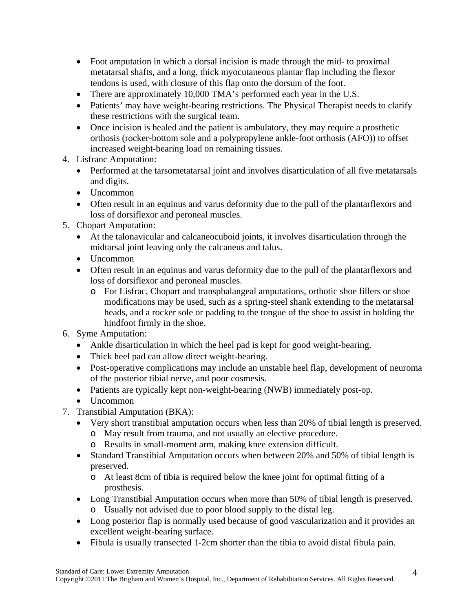- Foot amputation in which a dorsal incision is made through the mid- to proximal metatarsal shafts, and a long, thick myocutaneous plantar flap including the flexor tendons is used, with closure of this flap onto the dorsum of the foot.
- There are approximately 10,000 TMA's performed each year in the U.S.
- Patients' may have weight-bearing restrictions. The Physical Therapist needs to clarify these restrictions with the surgical team.
- Once incision is healed and the patient is ambulatory, they may require a prosthetic orthosis (rocker-bottom sole and a polypropylene ankle-foot orthosis (AFO)) to offset increased weight-bearing load on remaining tissues.
- 4. Lisfranc Amputation:
	- Performed at the tarsometatarsal joint and involves disarticulation of all five metatarsals and digits.
	- Uncommon
	- Often result in an equinus and varus deformity due to the pull of the plantarflexors and loss of dorsiflexor and peroneal muscles.
- 5. Chopart Amputation:
	- At the talonavicular and calcaneocuboid joints, it involves disarticulation through the midtarsal joint leaving only the calcaneus and talus.
	- Uncommon
	- Often result in an equinus and varus deformity due to the pull of the plantarflexors and loss of dorsiflexor and peroneal muscles.
		- o For Lisfrac, Chopart and transphalangeal amputations, orthotic shoe fillers or shoe modifications may be used, such as a spring-steel shank extending to the metatarsal heads, and a rocker sole or padding to the tongue of the shoe to assist in holding the hindfoot firmly in the shoe.
- 6. Syme Amputation:
	- Ankle disarticulation in which the heel pad is kept for good weight-bearing.
	- Thick heel pad can allow direct weight-bearing.
	- Post-operative complications may include an unstable heel flap, development of neuroma of the posterior tibial nerve, and poor cosmesis.
	- Patients are typically kept non-weight-bearing (NWB) immediately post-op.
	- Uncommon
- 7. Transtibial Amputation (BKA):
	- Very short transtibial amputation occurs when less than 20% of tibial length is preserved.
		- o May result from trauma, and not usually an elective procedure.
		- o Results in small-moment arm, making knee extension difficult.
	- Standard Transtibial Amputation occurs when between 20% and 50% of tibial length is preserved.
		- o At least 8cm of tibia is required below the knee joint for optimal fitting of a prosthesis.
	- Long Transtibial Amputation occurs when more than 50% of tibial length is preserved. o Usually not advised due to poor blood supply to the distal leg.
	- Long posterior flap is normally used because of good vascularization and it provides an excellent weight-bearing surface.
	- Fibula is usually transected 1-2cm shorter than the tibia to avoid distal fibula pain.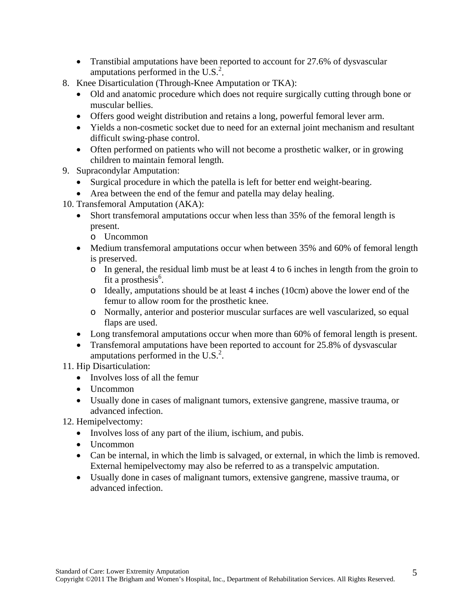- Transtibial amputations have been reported to account for 27.6% of dysvascular amputations performed in the  $U.S.<sup>2</sup>$ .
- 8. Knee Disarticulation (Through-Knee Amputation or TKA):
	- Old and anatomic procedure which does not require surgically cutting through bone or muscular bellies.
	- Offers good weight distribution and retains a long, powerful femoral lever arm.
	- Yields a non-cosmetic socket due to need for an external joint mechanism and resultant difficult swing-phase control.
	- Often performed on patients who will not become a prosthetic walker, or in growing children to maintain femoral length.
- 9. Supracondylar Amputation:
	- Surgical procedure in which the patella is left for better end weight-bearing.
	- Area between the end of the femur and patella may delay healing.
- 10. Transfemoral Amputation (AKA):
	- Short transfemoral amputations occur when less than 35% of the femoral length is present.
		- o Uncommon
	- Medium transfemoral amputations occur when between 35% and 60% of femoral length is preserved.
		- o In general, the residual limb must be at least 4 to 6 inches in length from the groin to fit a prosthesis $<sup>6</sup>$ .</sup>
		- o Ideally, amputations should be at least 4 inches (10cm) above the lower end of the femur to allow room for the prosthetic knee.
		- o Normally, anterior and posterior muscular surfaces are well vascularized, so equal flaps are used.
	- Long transfemoral amputations occur when more than 60% of femoral length is present.
	- Transfemoral amputations have been reported to account for 25.8% of dysvascular amputations performed in the U.S. $<sup>2</sup>$ .</sup>
- 11. Hip Disarticulation:
	- Involves loss of all the femur
	- Uncommon
	- Usually done in cases of malignant tumors, extensive gangrene, massive trauma, or advanced infection.
- 12. Hemipelvectomy:
	- Involves loss of any part of the ilium, ischium, and pubis.
	- Uncommon
	- Can be internal, in which the limb is salvaged, or external, in which the limb is removed. External hemipelvectomy may also be referred to as a transpelvic amputation.
	- Usually done in cases of malignant tumors, extensive gangrene, massive trauma, or advanced infection.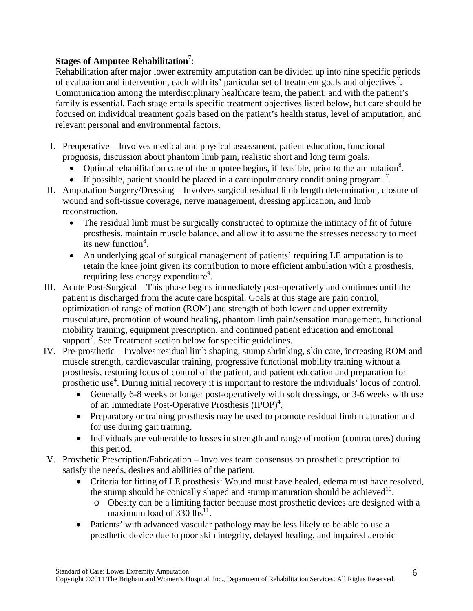# Stages of Amputee Rehabilitation<sup>7</sup>:

Rehabilitation after major lower extremity amputation can be divided up into nine specific periods of evaluation and intervention, each with its' particular set of treatment goals and objectives<sup>7</sup>. Communication among the interdisciplinary healthcare team, the patient, and with the patient's family is essential. Each stage entails specific treatment objectives listed below, but care should be focused on individual treatment goals based on the patient's health status, level of amputation, and relevant personal and environmental factors.

- I. Preoperative Involves medical and physical assessment, patient education, functional prognosis, discussion about phantom limb pain, realistic short and long term goals.
	- Optimal rehabilitation care of the amputee begins, if feasible, prior to the amputation<sup>8</sup>.
	- If possible, patient should be placed in a cardiopulmonary conditioning program.<sup>7</sup>.
- II. Amputation Surgery/Dressing Involves surgical residual limb length determination, closure of wound and soft-tissue coverage, nerve management, dressing application, and limb reconstruction.
	- The residual limb must be surgically constructed to optimize the intimacy of fit of future prosthesis, maintain muscle balance, and allow it to assume the stresses necessary to meet its new function $8$ .
	- An underlying goal of surgical management of patients' requiring LE amputation is to retain the knee joint given its contribution to more efficient ambulation with a prosthesis, requiring less energy expenditure<sup>9</sup>.
- III. Acute Post-Surgical This phase begins immediately post-operatively and continues until the patient is discharged from the acute care hospital. Goals at this stage are pain control, optimization of range of motion (ROM) and strength of both lower and upper extremity musculature, promotion of wound healing, phantom limb pain/sensation management, functional mobility training, equipment prescription, and continued patient education and emotional support<sup>7</sup>. See Treatment section below for specific guidelines.
- IV. Pre-prosthetic Involves residual limb shaping, stump shrinking, skin care, increasing ROM and muscle strength, cardiovascular training, progressive functional mobility training without a prosthesis, restoring locus of control of the patient, and patient education and preparation for prosthetic use<sup>4</sup>. During initial recovery it is important to restore the individuals' locus of control.
	- Generally 6-8 weeks or longer post-operatively with soft dressings, or 3-6 weeks with use of an Immediate Post-Operative Prosthesis (IPOP)<sup>4</sup>.
	- Preparatory or training prosthesis may be used to promote residual limb maturation and for use during gait training.
	- Individuals are vulnerable to losses in strength and range of motion (contractures) during this period.
- V. Prosthetic Prescription/Fabrication Involves team consensus on prosthetic prescription to satisfy the needs, desires and abilities of the patient.
	- Criteria for fitting of LE prosthesis: Wound must have healed, edema must have resolved, the stump should be conically shaped and stump maturation should be achieved<sup>10</sup>.
		- o Obesity can be a limiting factor because most prosthetic devices are designed with a maximum load of  $330$  lbs<sup>11</sup>.
	- Patients' with advanced vascular pathology may be less likely to be able to use a prosthetic device due to poor skin integrity, delayed healing, and impaired aerobic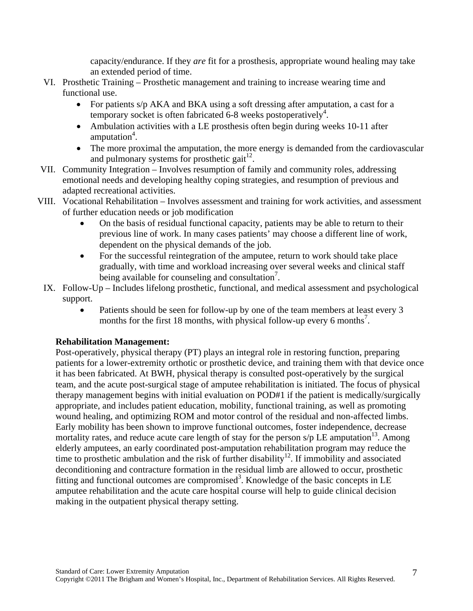capacity/endurance. If they *are* fit for a prosthesis, appropriate wound healing may take an extended period of time.

- VI. Prosthetic Training Prosthetic management and training to increase wearing time and functional use.
	- For patients s/p AKA and BKA using a soft dressing after amputation, a cast for a temporary socket is often fabricated  $6-8$  weeks postoperatively<sup>4</sup>.
	- Ambulation activities with a LE prosthesis often begin during weeks 10-11 after amputation<sup>4</sup>.
	- The more proximal the amputation, the more energy is demanded from the cardiovascular and pulmonary systems for prosthetic gait $^{12}$ .
- VII. Community Integration Involves resumption of family and community roles, addressing emotional needs and developing healthy coping strategies, and resumption of previous and adapted recreational activities.
- VIII. Vocational Rehabilitation Involves assessment and training for work activities, and assessment of further education needs or job modification
	- On the basis of residual functional capacity, patients may be able to return to their previous line of work. In many cases patients' may choose a different line of work, dependent on the physical demands of the job.
	- For the successful reintegration of the amputee, return to work should take place gradually, with time and workload increasing over several weeks and clinical staff being available for counseling and consultation<sup>7</sup>.
	- IX. Follow-Up Includes lifelong prosthetic, functional, and medical assessment and psychological support.
		- Patients should be seen for follow-up by one of the team members at least every 3 months for the first 18 months, with physical follow-up every 6 months<sup>7</sup>.

## **Rehabilitation Management:**

Post-operatively, physical therapy (PT) plays an integral role in restoring function, preparing patients for a lower-extremity orthotic or prosthetic device, and training them with that device once it has been fabricated. At BWH, physical therapy is consulted post-operatively by the surgical team, and the acute post-surgical stage of amputee rehabilitation is initiated. The focus of physical therapy management begins with initial evaluation on POD#1 if the patient is medically/surgically appropriate, and includes patient education, mobility, functional training, as well as promoting wound healing, and optimizing ROM and motor control of the residual and non-affected limbs. Early mobility has been shown to improve functional outcomes, foster independence, decrease mortality rates, and reduce acute care length of stay for the person  $s/p$  LE amputation<sup>13</sup>. Among elderly amputees, an early coordinated post-amputation rehabilitation program may reduce the time to prosthetic ambulation and the risk of further disability<sup>12</sup>. If immobility and associated deconditioning and contracture formation in the residual limb are allowed to occur, prosthetic fitting and functional outcomes are compromised<sup>3</sup>. Knowledge of the basic concepts in LE amputee rehabilitation and the acute care hospital course will help to guide clinical decision making in the outpatient physical therapy setting.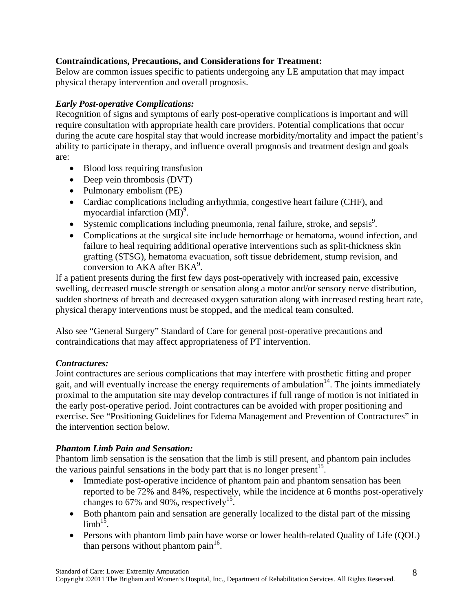## **Contraindications, Precautions, and Considerations for Treatment:**

Below are common issues specific to patients undergoing any LE amputation that may impact physical therapy intervention and overall prognosis.

# *Early Post-operative Complications:*

Recognition of signs and symptoms of early post-operative complications is important and will require consultation with appropriate health care providers. Potential complications that occur during the acute care hospital stay that would increase morbidity/mortality and impact the patient's ability to participate in therapy, and influence overall prognosis and treatment design and goals are:

- Blood loss requiring transfusion
- Deep vein thrombosis (DVT)
- Pulmonary embolism (PE)
- Cardiac complications including arrhythmia, congestive heart failure (CHF), and myocardial infarction  $(MI)^9$ .
- Systemic complications including pneumonia, renal failure, stroke, and sepsis $9$ .
- Complications at the surgical site include hemorrhage or hematoma, wound infection, and failure to heal requiring additional operative interventions such as split-thickness skin grafting (STSG), hematoma evacuation, soft tissue debridement, stump revision, and conversion to  $\overrightarrow{AKA}$  after  $BKA^{9}$ .

If a patient presents during the first few days post-operatively with increased pain, excessive swelling, decreased muscle strength or sensation along a motor and/or sensory nerve distribution, sudden shortness of breath and decreased oxygen saturation along with increased resting heart rate, physical therapy interventions must be stopped, and the medical team consulted.

Also see "General Surgery" Standard of Care for general post-operative precautions and contraindications that may affect appropriateness of PT intervention.

## *Contractures:*

Joint contractures are serious complications that may interfere with prosthetic fitting and proper gait, and will eventually increase the energy requirements of ambulation<sup>14</sup>. The joints immediately proximal to the amputation site may develop contractures if full range of motion is not initiated in the early post-operative period. Joint contractures can be avoided with proper positioning and exercise. See "Positioning Guidelines for Edema Management and Prevention of Contractures" in the intervention section below.

## *Phantom Limb Pain and Sensation:*

Phantom limb sensation is the sensation that the limb is still present, and phantom pain includes the various painful sensations in the body part that is no longer present<sup>15</sup>.

- Immediate post-operative incidence of phantom pain and phantom sensation has been reported to be 72% and 84%, respectively, while the incidence at 6 months post-operatively changes to 67% and 90%, respectively<sup>15</sup>.
- Both phantom pain and sensation are generally localized to the distal part of the missing  $limh^{15}$
- Persons with phantom limb pain have worse or lower health-related Quality of Life (QOL) than persons without phantom pain $16$ .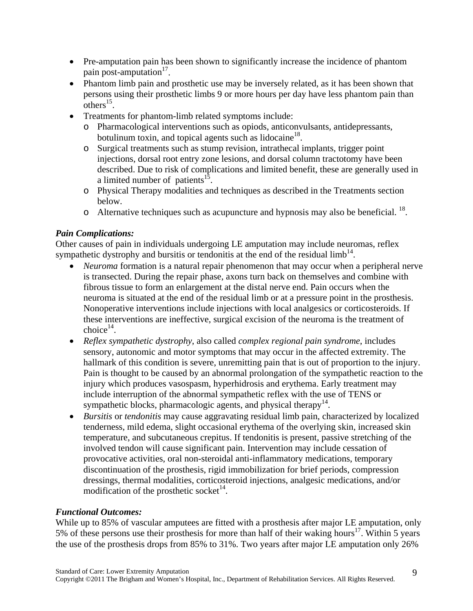- Pre-amputation pain has been shown to significantly increase the incidence of phantom pain post-amputation $17$ .
- Phantom limb pain and prosthetic use may be inversely related, as it has been shown that persons using their prosthetic limbs 9 or more hours per day have less phantom pain than  $others$ <sup>15</sup>.
- Treatments for phantom-limb related symptoms include:
	- o Pharmacological interventions such as opiods, anticonvulsants, antidepressants, botulinum toxin, and topical agents such as lidocaine<sup>18</sup>.
	- o Surgical treatments such as stump revision, intrathecal implants, trigger point injections, dorsal root entry zone lesions, and dorsal column tractotomy have been described. Due to risk of complications and limited benefit, these are generally used in a limited number of patients<sup>15</sup>.
	- o Physical Therapy modalities and techniques as described in the Treatments section below.
	- o Alternative techniques such as acupuncture and hypnosis may also be beneficial.  $^{18}$ .

## *Pain Complications:*

Other causes of pain in individuals undergoing LE amputation may include neuromas, reflex sympathetic dystrophy and bursitis or tendonitis at the end of the residual  $\lim_{h \to 1} h^{14}$ .

- *Neuroma* formation is a natural repair phenomenon that may occur when a peripheral nerve is transected. During the repair phase, axons turn back on themselves and combine with fibrous tissue to form an enlargement at the distal nerve end. Pain occurs when the neuroma is situated at the end of the residual limb or at a pressure point in the prosthesis. Nonoperative interventions include injections with local analgesics or corticosteroids. If these interventions are ineffective, surgical excision of the neuroma is the treatment of  $choice<sup>14</sup>$ .
- *Reflex sympathetic dystrophy*, also called *complex regional pain syndrome*, includes sensory, autonomic and motor symptoms that may occur in the affected extremity. The hallmark of this condition is severe, unremitting pain that is out of proportion to the injury. Pain is thought to be caused by an abnormal prolongation of the sympathetic reaction to the injury which produces vasospasm, hyperhidrosis and erythema. Early treatment may include interruption of the abnormal sympathetic reflex with the use of TENS or sympathetic blocks, pharmacologic agents, and physical therapy<sup>14</sup>.
- *Bursitis* or *tendonitis* may cause aggravating residual limb pain, characterized by localized tenderness, mild edema, slight occasional erythema of the overlying skin, increased skin temperature, and subcutaneous crepitus. If tendonitis is present, passive stretching of the involved tendon will cause significant pain. Intervention may include cessation of provocative activities, oral non-steroidal anti-inflammatory medications, temporary discontinuation of the prosthesis, rigid immobilization for brief periods, compression dressings, thermal modalities, corticosteroid injections, analgesic medications, and/or modification of the prosthetic socket<sup>14</sup>.

#### *Functional Outcomes:*

While up to 85% of vascular amputees are fitted with a prosthesis after major LE amputation, only 5% of these persons use their prosthesis for more than half of their waking hours<sup>17</sup>. Within 5 years the use of the prosthesis drops from 85% to 31%. Two years after major LE amputation only 26%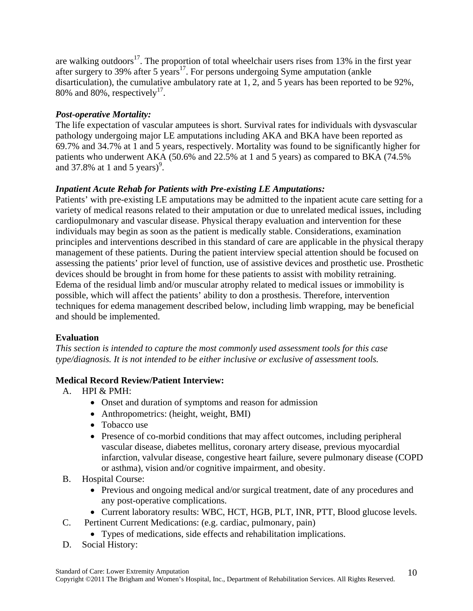are walking outdoors<sup>17</sup>. The proportion of total wheelchair users rises from 13% in the first year after surgery to 39% after 5 years<sup>17</sup>. For persons undergoing Syme amputation (ankle disarticulation), the cumulative ambulatory rate at 1, 2, and 5 years has been reported to be 92%, 80% and 80%, respectively<sup>17</sup>.

# *Post-operative Mortality:*

The life expectation of vascular amputees is short. Survival rates for individuals with dysvascular pathology undergoing major LE amputations including AKA and BKA have been reported as 69.7% and 34.7% at 1 and 5 years, respectively. Mortality was found to be significantly higher for patients who underwent AKA (50.6% and 22.5% at 1 and 5 years) as compared to BKA (74.5% and 37.8% at 1 and 5 years) $\degree$ .

# *Inpatient Acute Rehab for Patients with Pre-existing LE Amputations:*

Patients' with pre-existing LE amputations may be admitted to the inpatient acute care setting for a variety of medical reasons related to their amputation or due to unrelated medical issues, including cardiopulmonary and vascular disease. Physical therapy evaluation and intervention for these individuals may begin as soon as the patient is medically stable. Considerations, examination principles and interventions described in this standard of care are applicable in the physical therapy management of these patients. During the patient interview special attention should be focused on assessing the patients' prior level of function, use of assistive devices and prosthetic use. Prosthetic devices should be brought in from home for these patients to assist with mobility retraining. Edema of the residual limb and/or muscular atrophy related to medical issues or immobility is possible, which will affect the patients' ability to don a prosthesis. Therefore, intervention techniques for edema management described below, including limb wrapping, may be beneficial and should be implemented.

# **Evaluation**

*This section is intended to capture the most commonly used assessment tools for this case type/diagnosis. It is not intended to be either inclusive or exclusive of assessment tools.* 

## **Medical Record Review/Patient Interview:**

- A. HPI & PMH:
	- Onset and duration of symptoms and reason for admission
	- Anthropometrics: (height, weight, BMI)
	- Tobacco use
	- Presence of co-morbid conditions that may affect outcomes, including peripheral vascular disease, diabetes mellitus, coronary artery disease, previous myocardial infarction, valvular disease, congestive heart failure, severe pulmonary disease (COPD or asthma), vision and/or cognitive impairment, and obesity.
- B. Hospital Course:
	- Previous and ongoing medical and/or surgical treatment, date of any procedures and any post-operative complications.
	- Current laboratory results: WBC, HCT, HGB, PLT, INR, PTT, Blood glucose levels.
- C. Pertinent Current Medications: (e.g. cardiac, pulmonary, pain)
	- Types of medications, side effects and rehabilitation implications.
- D. Social History: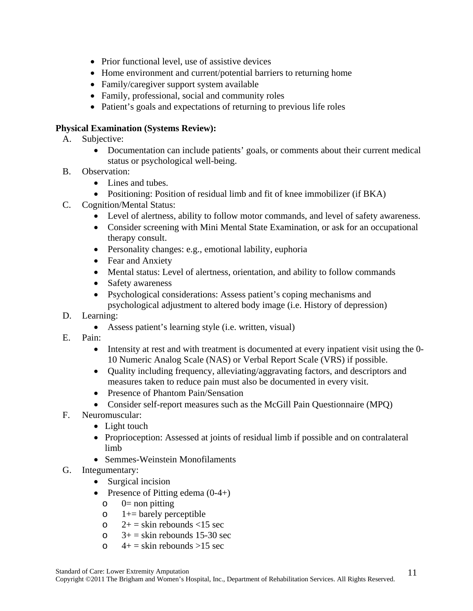- Prior functional level, use of assistive devices
- Home environment and current/potential barriers to returning home
- Family/caregiver support system available
- Family, professional, social and community roles
- Patient's goals and expectations of returning to previous life roles

## **Physical Examination (Systems Review):**

- A. Subjective:
	- Documentation can include patients' goals, or comments about their current medical status or psychological well-being.
- B. Observation:
	- Lines and tubes.
	- Positioning: Position of residual limb and fit of knee immobilizer (if BKA)
- C. Cognition/Mental Status:
	- Level of alertness, ability to follow motor commands, and level of safety awareness.
	- Consider screening with Mini Mental State Examination, or ask for an occupational therapy consult.
	- Personality changes: e.g., emotional lability, euphoria
	- Fear and Anxiety
	- Mental status: Level of alertness, orientation, and ability to follow commands
	- Safety awareness
	- Psychological considerations: Assess patient's coping mechanisms and psychological adjustment to altered body image (i.e. History of depression)
- D. Learning:
	- Assess patient's learning style (i.e. written, visual)
- E. Pain:
	- Intensity at rest and with treatment is documented at every inpatient visit using the 0-10 Numeric Analog Scale (NAS) or Verbal Report Scale (VRS) if possible.
	- Quality including frequency, alleviating/aggravating factors, and descriptors and measures taken to reduce pain must also be documented in every visit.
	- Presence of Phantom Pain/Sensation
	- Consider self-report measures such as the McGill Pain Questionnaire (MPQ)
- F. Neuromuscular:
	- Light touch
	- Proprioception: Assessed at joints of residual limb if possible and on contralateral limb
	- Semmes-Weinstein Monofilaments
- G. Integumentary:
	- Surgical incision
	- Presence of Pitting edema  $(0-4+)$ 
		- $o = 0$ = non pitting
		- $\circ$  1+= barely perceptible
		- o  $2+$  = skin rebounds <15 sec
		- $\circ$  3+ = skin rebounds 15-30 sec
		- $\circ$  4+ = skin rebounds >15 sec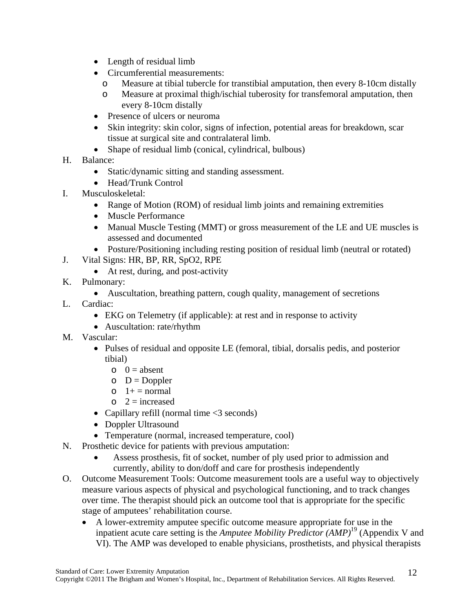- Length of residual limb
- Circumferential measurements:
	- o Measure at tibial tubercle for transtibial amputation, then every 8-10cm distally
	- o Measure at proximal thigh/ischial tuberosity for transfemoral amputation, then every 8-10cm distally
- Presence of ulcers or neuroma
- Skin integrity: skin color, signs of infection, potential areas for breakdown, scar tissue at surgical site and contralateral limb.
- Shape of residual limb (conical, cylindrical, bulbous)
- H. Balance:
	- Static/dynamic sitting and standing assessment.
	- Head/Trunk Control
- I. Musculoskeletal:
	- Range of Motion (ROM) of residual limb joints and remaining extremities
	- Muscle Performance
	- Manual Muscle Testing (MMT) or gross measurement of the LE and UE muscles is assessed and documented
	- Posture/Positioning including resting position of residual limb (neutral or rotated)
- J. Vital Signs: HR, BP, RR, SpO2, RPE
	- At rest, during, and post-activity
- K. Pulmonary:
	- Auscultation, breathing pattern, cough quality, management of secretions
- L. Cardiac:
	- EKG on Telemetry (if applicable): at rest and in response to activity
	- Auscultation: rate/rhythm
- M. Vascular:
	- Pulses of residual and opposite LE (femoral, tibial, dorsalis pedis, and posterior tibial)
		- $o \quad 0 = \text{absent}$
		- $O = D$ oppler
		- $\circ$  1+ = normal
		- $\circ$  2 = increased
	- Capillary refill (normal time  $\langle 3 \rangle$  seconds)
	- Doppler Ultrasound
	- Temperature (normal, increased temperature, cool)
- N. Prosthetic device for patients with previous amputation:
	- Assess prosthesis, fit of socket, number of ply used prior to admission and currently, ability to don/doff and care for prosthesis independently
- O. Outcome Measurement Tools: Outcome measurement tools are a useful way to objectively measure various aspects of physical and psychological functioning, and to track changes over time. The therapist should pick an outcome tool that is appropriate for the specific stage of amputees' rehabilitation course.
	- A lower-extremity amputee specific outcome measure appropriate for use in the inpatient acute care setting is the *Amputee Mobility Predictor (AMP)*19 (Appendix V and VI). The AMP was developed to enable physicians, prosthetists, and physical therapists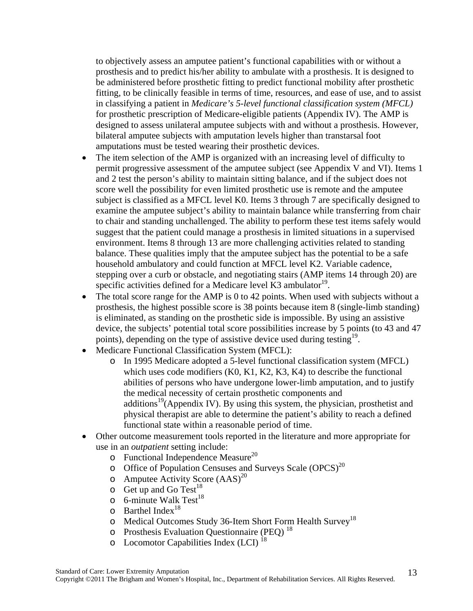to objectively assess an amputee patient's functional capabilities with or without a prosthesis and to predict his/her ability to ambulate with a prosthesis. It is designed to be administered before prosthetic fitting to predict functional mobility after prosthetic fitting, to be clinically feasible in terms of time, resources, and ease of use, and to assist in classifying a patient in *Medicare's 5-level functional classification system (MFCL)* for prosthetic prescription of Medicare-eligible patients (Appendix IV). The AMP is designed to assess unilateral amputee subjects with and without a prosthesis. However, bilateral amputee subjects with amputation levels higher than transtarsal foot amputations must be tested wearing their prosthetic devices.

- The item selection of the AMP is organized with an increasing level of difficulty to permit progressive assessment of the amputee subject (see Appendix V and VI). Items 1 and 2 test the person's ability to maintain sitting balance, and if the subject does not score well the possibility for even limited prosthetic use is remote and the amputee subject is classified as a MFCL level K0. Items 3 through 7 are specifically designed to examine the amputee subject's ability to maintain balance while transferring from chair to chair and standing unchallenged. The ability to perform these test items safely would suggest that the patient could manage a prosthesis in limited situations in a supervised environment. Items 8 through 13 are more challenging activities related to standing balance. These qualities imply that the amputee subject has the potential to be a safe household ambulatory and could function at MFCL level K2. Variable cadence, stepping over a curb or obstacle, and negotiating stairs (AMP items 14 through 20) are specific activities defined for a Medicare level  $\text{K3}$  ambulator<sup>19</sup>.
- The total score range for the AMP is 0 to 42 points. When used with subjects without a prosthesis, the highest possible score is 38 points because item 8 (single-limb standing) is eliminated, as standing on the prosthetic side is impossible. By using an assistive device, the subjects' potential total score possibilities increase by 5 points (to 43 and 47 points), depending on the type of assistive device used during testing<sup>19</sup>.
- Medicare Functional Classification System (MFCL):
	- o In 1995 Medicare adopted a 5-level functional classification system (MFCL) which uses code modifiers (K0, K1, K2, K3, K4) to describe the functional abilities of persons who have undergone lower-limb amputation, and to justify the medical necessity of certain prosthetic components and additions<sup>19</sup>(Appendix IV). By using this system, the physician, prosthetist and physical therapist are able to determine the patient's ability to reach a defined functional state within a reasonable period of time.
- Other outcome measurement tools reported in the literature and more appropriate for use in an *outpatient* setting include:
	- $\circ$  Functional Independence Measure<sup>20</sup>
	- $\circ$  Office of Population Censuses and Surveys Scale (OPCS)<sup>20</sup>
	- o Amputee Activity Score  $(AdS)^{20}$
	- $\circ$  Get up and Go Test<sup>18</sup>
	- $\circ$  6-minute Walk Test<sup>18</sup>
	- $\circ$  Barthel Index<sup>18</sup>
	- o Medical Outcomes Study 36-Item Short Form Health Survey<sup>18</sup>
	- o Prosthesis Evaluation Questionnaire (PEQ) 18
	- $\circ$  Locomotor Capabilities Index (LCI)<sup>18</sup>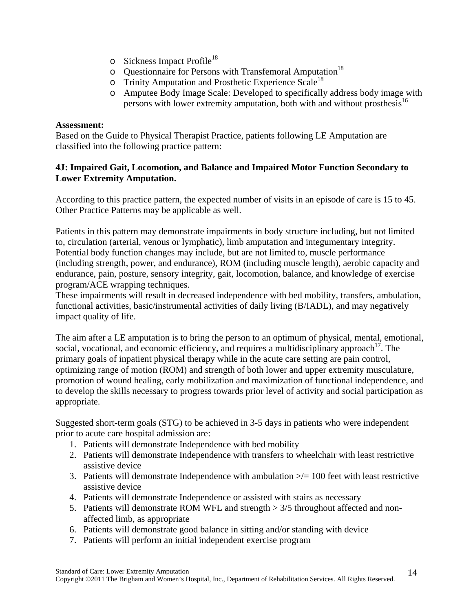- $\circ$  Sickness Impact Profile<sup>18</sup>
- o Questionnaire for Persons with Transfemoral Amputation<sup>18</sup>
- o Trinity Amputation and Prosthetic Experience Scale<sup>18</sup>
- o Amputee Body Image Scale: Developed to specifically address body image with persons with lower extremity amputation, both with and without prosthesis<sup>16</sup>

#### **Assessment:**

Based on the Guide to Physical Therapist Practice, patients following LE Amputation are classified into the following practice pattern:

#### **4J: Impaired Gait, Locomotion, and Balance and Impaired Motor Function Secondary to Lower Extremity Amputation.**

According to this practice pattern, the expected number of visits in an episode of care is 15 to 45. Other Practice Patterns may be applicable as well.

Patients in this pattern may demonstrate impairments in body structure including, but not limited to, circulation (arterial, venous or lymphatic), limb amputation and integumentary integrity. Potential body function changes may include, but are not limited to, muscle performance (including strength, power, and endurance), ROM (including muscle length), aerobic capacity and endurance, pain, posture, sensory integrity, gait, locomotion, balance, and knowledge of exercise program/ACE wrapping techniques.

These impairments will result in decreased independence with bed mobility, transfers, ambulation, functional activities, basic/instrumental activities of daily living (B/IADL), and may negatively impact quality of life.

The aim after a LE amputation is to bring the person to an optimum of physical, mental, emotional, social, vocational, and economic efficiency, and requires a multidisciplinary approach<sup>17</sup>. The primary goals of inpatient physical therapy while in the acute care setting are pain control, optimizing range of motion (ROM) and strength of both lower and upper extremity musculature, promotion of wound healing, early mobilization and maximization of functional independence, and to develop the skills necessary to progress towards prior level of activity and social participation as appropriate.

Suggested short-term goals (STG) to be achieved in 3-5 days in patients who were independent prior to acute care hospital admission are:

- 1. Patients will demonstrate Independence with bed mobility
- 2. Patients will demonstrate Independence with transfers to wheelchair with least restrictive assistive device
- 3. Patients will demonstrate Independence with ambulation  $\gg$  = 100 feet with least restrictive assistive device
- 4. Patients will demonstrate Independence or assisted with stairs as necessary
- 5. Patients will demonstrate ROM WFL and strength > 3/5 throughout affected and nonaffected limb, as appropriate
- 6. Patients will demonstrate good balance in sitting and/or standing with device
- 7. Patients will perform an initial independent exercise program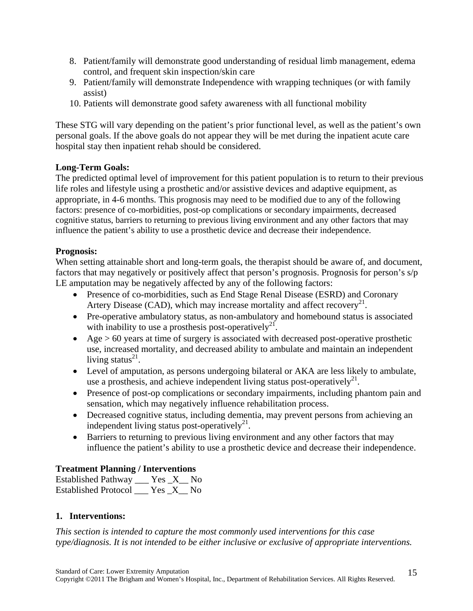- 8. Patient/family will demonstrate good understanding of residual limb management, edema control, and frequent skin inspection/skin care
- 9. Patient/family will demonstrate Independence with wrapping techniques (or with family assist)
- 10. Patients will demonstrate good safety awareness with all functional mobility

These STG will vary depending on the patient's prior functional level, as well as the patient's own personal goals. If the above goals do not appear they will be met during the inpatient acute care hospital stay then inpatient rehab should be considered.

## **Long-Term Goals:**

The predicted optimal level of improvement for this patient population is to return to their previous life roles and lifestyle using a prosthetic and/or assistive devices and adaptive equipment, as appropriate, in 4-6 months. This prognosis may need to be modified due to any of the following factors: presence of co-morbidities, post-op complications or secondary impairments, decreased cognitive status, barriers to returning to previous living environment and any other factors that may influence the patient's ability to use a prosthetic device and decrease their independence.

## **Prognosis:**

When setting attainable short and long-term goals, the therapist should be aware of, and document, factors that may negatively or positively affect that person's prognosis. Prognosis for person's s/p LE amputation may be negatively affected by any of the following factors:

- Presence of co-morbidities, such as End Stage Renal Disease (ESRD) and Coronary Artery Disease (CAD), which may increase mortality and affect recovery<sup>21</sup>.
- Pre-operative ambulatory status, as non-ambulatory and homebound status is associated with inability to use a prosthesis post-operatively<sup>21</sup>.
- Age  $> 60$  years at time of surgery is associated with decreased post-operative prosthetic use, increased mortality, and decreased ability to ambulate and maintain an independent living status $^{21}$ .
- Level of amputation, as persons undergoing bilateral or AKA are less likely to ambulate, use a prosthesis, and achieve independent living status post-operatively<sup>21</sup>.
- Presence of post-op complications or secondary impairments, including phantom pain and sensation, which may negatively influence rehabilitation process.
- Decreased cognitive status, including dementia, may prevent persons from achieving an independent living status post-operatively<sup>21</sup>.
- Barriers to returning to previous living environment and any other factors that may influence the patient's ability to use a prosthetic device and decrease their independence.

## **Treatment Planning / Interventions**

| Established Pathway         |  | Yes X No |
|-----------------------------|--|----------|
| <b>Established Protocol</b> |  | Yes X No |

#### **1. Interventions:**

*This section is intended to capture the most commonly used interventions for this case type/diagnosis. It is not intended to be either inclusive or exclusive of appropriate interventions.*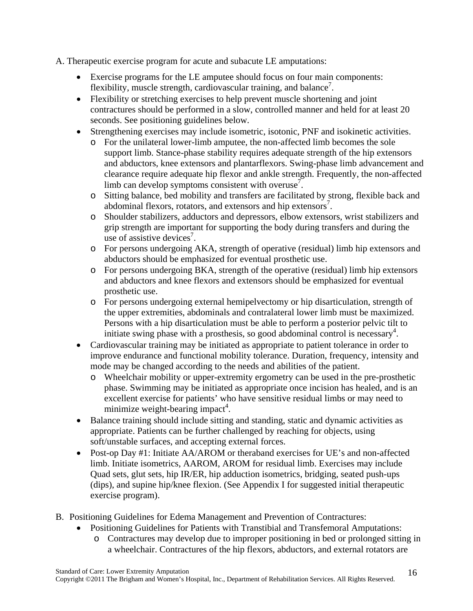A. Therapeutic exercise program for acute and subacute LE amputations:

- Exercise programs for the LE amputee should focus on four main components: flexibility, muscle strength, cardiovascular training, and balance<sup>7</sup>.
- Flexibility or stretching exercises to help prevent muscle shortening and joint contractures should be performed in a slow, controlled manner and held for at least 20 seconds. See positioning guidelines below.
- Strengthening exercises may include isometric, isotonic, PNF and isokinetic activities.
	- o For the unilateral lower-limb amputee, the non-affected limb becomes the sole support limb. Stance-phase stability requires adequate strength of the hip extensors and abductors, knee extensors and plantarflexors. Swing-phase limb advancement and clearance require adequate hip flexor and ankle strength. Frequently, the non-affected limb can develop symptoms consistent with overuse<sup>7</sup>.
	- o Sitting balance, bed mobility and transfers are facilitated by strong, flexible back and abdominal flexors, rotators, and extensors and hip extensors<sup>7</sup>.
	- o Shoulder stabilizers, adductors and depressors, elbow extensors, wrist stabilizers and grip strength are important for supporting the body during transfers and during the use of assistive devices<sup>7</sup>.
	- o For persons undergoing AKA, strength of operative (residual) limb hip extensors and abductors should be emphasized for eventual prosthetic use.
	- o For persons undergoing BKA, strength of the operative (residual) limb hip extensors and abductors and knee flexors and extensors should be emphasized for eventual prosthetic use.
	- o For persons undergoing external hemipelvectomy or hip disarticulation, strength of the upper extremities, abdominals and contralateral lower limb must be maximized. Persons with a hip disarticulation must be able to perform a posterior pelvic tilt to initiate swing phase with a prosthesis, so good abdominal control is necessary<sup>4</sup>.
- Cardiovascular training may be initiated as appropriate to patient tolerance in order to improve endurance and functional mobility tolerance. Duration, frequency, intensity and mode may be changed according to the needs and abilities of the patient.
	- o Wheelchair mobility or upper-extremity ergometry can be used in the pre-prosthetic phase. Swimming may be initiated as appropriate once incision has healed, and is an excellent exercise for patients' who have sensitive residual limbs or may need to minimize weight-bearing impact<sup>4</sup>.
- Balance training should include sitting and standing, static and dynamic activities as appropriate. Patients can be further challenged by reaching for objects, using soft/unstable surfaces, and accepting external forces.
- Post-op Day #1: Initiate AA/AROM or theraband exercises for UE's and non-affected limb. Initiate isometrics, AAROM, AROM for residual limb. Exercises may include Quad sets, glut sets, hip IR/ER, hip adduction isometrics, bridging, seated push-ups (dips), and supine hip/knee flexion. (See Appendix I for suggested initial therapeutic exercise program).
- B. Positioning Guidelines for Edema Management and Prevention of Contractures:
	- Positioning Guidelines for Patients with Transtibial and Transfemoral Amputations:
		- o Contractures may develop due to improper positioning in bed or prolonged sitting in a wheelchair. Contractures of the hip flexors, abductors, and external rotators are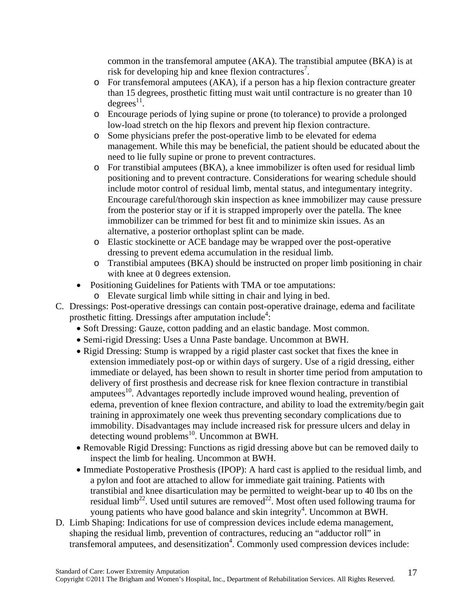common in the transfemoral amputee (AKA). The transtibial amputee (BKA) is at risk for developing hip and knee flexion contractures<sup>7</sup>.

- o For transfemoral amputees (AKA), if a person has a hip flexion contracture greater than 15 degrees, prosthetic fitting must wait until contracture is no greater than 10  $degrees$ <sup>11</sup>.
- o Encourage periods of lying supine or prone (to tolerance) to provide a prolonged low-load stretch on the hip flexors and prevent hip flexion contracture.
- o Some physicians prefer the post-operative limb to be elevated for edema management. While this may be beneficial, the patient should be educated about the need to lie fully supine or prone to prevent contractures.
- o For transtibial amputees (BKA), a knee immobilizer is often used for residual limb positioning and to prevent contracture. Considerations for wearing schedule should include motor control of residual limb, mental status, and integumentary integrity. Encourage careful/thorough skin inspection as knee immobilizer may cause pressure from the posterior stay or if it is strapped improperly over the patella. The knee immobilizer can be trimmed for best fit and to minimize skin issues. As an alternative, a posterior orthoplast splint can be made.
- o Elastic stockinette or ACE bandage may be wrapped over the post-operative dressing to prevent edema accumulation in the residual limb.
- o Transtibial amputees (BKA) should be instructed on proper limb positioning in chair with knee at 0 degrees extension.
- Positioning Guidelines for Patients with TMA or toe amputations:
	- o Elevate surgical limb while sitting in chair and lying in bed.
- C. Dressings: Post-operative dressings can contain post-operative drainage, edema and facilitate prosthetic fitting. Dressings after amputation include<sup>4</sup>:
	- Soft Dressing: Gauze, cotton padding and an elastic bandage. Most common.
	- Semi-rigid Dressing: Uses a Unna Paste bandage. Uncommon at BWH.
	- Rigid Dressing: Stump is wrapped by a rigid plaster cast socket that fixes the knee in extension immediately post-op or within days of surgery. Use of a rigid dressing, either immediate or delayed, has been shown to result in shorter time period from amputation to delivery of first prosthesis and decrease risk for knee flexion contracture in transtibial amputees<sup>10</sup>. Advantages reportedly include improved wound healing, prevention of edema, prevention of knee flexion contracture, and ability to load the extremity/begin gait training in approximately one week thus preventing secondary complications due to immobility. Disadvantages may include increased risk for pressure ulcers and delay in detecting wound problems<sup>10</sup>. Uncommon at BWH.
	- Removable Rigid Dressing: Functions as rigid dressing above but can be removed daily to inspect the limb for healing. Uncommon at BWH.
	- Immediate Postoperative Prosthesis (IPOP): A hard cast is applied to the residual limb, and a pylon and foot are attached to allow for immediate gait training. Patients with transtibial and knee disarticulation may be permitted to weight-bear up to 40 lbs on the residual limb<sup>22</sup>. Used until sutures are removed<sup>22</sup>. Most often used following trauma for young patients who have good balance and skin integrity<sup>4</sup>. Uncommon at BWH.
- D. Limb Shaping: Indications for use of compression devices include edema management, shaping the residual limb, prevention of contractures, reducing an "adductor roll" in transfemoral amputees, and desensitization<sup>4</sup>. Commonly used compression devices include: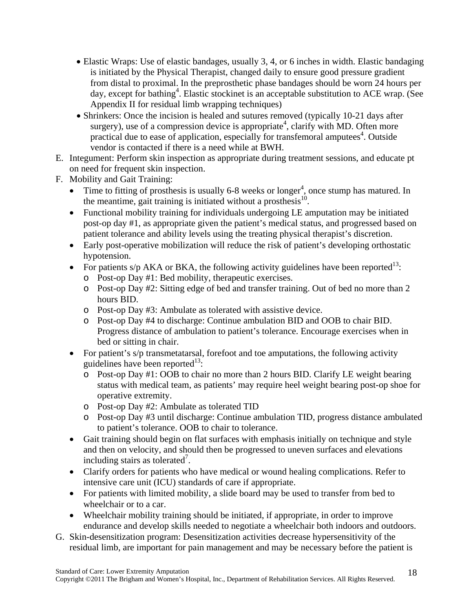- Elastic Wraps: Use of elastic bandages, usually 3, 4, or 6 inches in width. Elastic bandaging is initiated by the Physical Therapist, changed daily to ensure good pressure gradient from distal to proximal. In the preprosthetic phase bandages should be worn 24 hours per day, except for bathing<sup>4</sup>. Elastic stockinet is an acceptable substitution to ACE wrap. (See Appendix II for residual limb wrapping techniques)
- Shrinkers: Once the incision is healed and sutures removed (typically 10-21 days after surgery), use of a compression device is appropriate<sup>4</sup>, clarify with MD. Often more practical due to ease of application, especially for transfemoral amputees<sup>4</sup>. Outside vendor is contacted if there is a need while at BWH.
- E. Integument: Perform skin inspection as appropriate during treatment sessions, and educate pt on need for frequent skin inspection.
- F. Mobility and Gait Training:
	- Time to fitting of prosthesis is usually 6-8 weeks or longer<sup>4</sup>, once stump has matured. In the meantime, gait training is initiated without a prosthesis $^{10}$ .
	- Functional mobility training for individuals undergoing LE amputation may be initiated post-op day #1, as appropriate given the patient's medical status, and progressed based on patient tolerance and ability levels using the treating physical therapist's discretion.
	- Early post-operative mobilization will reduce the risk of patient's developing orthostatic hypotension.
	- For patients s/p AKA or BKA, the following activity guidelines have been reported<sup>13</sup>:
		- o Post-op Day #1: Bed mobility, therapeutic exercises.
		- o Post-op Day #2: Sitting edge of bed and transfer training. Out of bed no more than 2 hours BID.
		- o Post-op Day #3: Ambulate as tolerated with assistive device.
		- o Post-op Day #4 to discharge: Continue ambulation BID and OOB to chair BID. Progress distance of ambulation to patient's tolerance. Encourage exercises when in bed or sitting in chair.
	- For patient's s/p transmetatarsal, forefoot and toe amputations, the following activity guidelines have been reported $^{13}$ :
		- o Post-op Day #1: OOB to chair no more than 2 hours BID. Clarify LE weight bearing status with medical team, as patients' may require heel weight bearing post-op shoe for operative extremity.
		- o Post-op Day #2: Ambulate as tolerated TID
		- o Post-op Day #3 until discharge: Continue ambulation TID, progress distance ambulated to patient's tolerance. OOB to chair to tolerance.
	- Gait training should begin on flat surfaces with emphasis initially on technique and style and then on velocity, and should then be progressed to uneven surfaces and elevations including stairs as tolerated<sup>7</sup>.
	- Clarify orders for patients who have medical or wound healing complications. Refer to intensive care unit (ICU) standards of care if appropriate.
	- For patients with limited mobility, a slide board may be used to transfer from bed to wheelchair or to a car.
	- Wheelchair mobility training should be initiated, if appropriate, in order to improve endurance and develop skills needed to negotiate a wheelchair both indoors and outdoors.
- G. Skin-desensitization program: Desensitization activities decrease hypersensitivity of the residual limb, are important for pain management and may be necessary before the patient is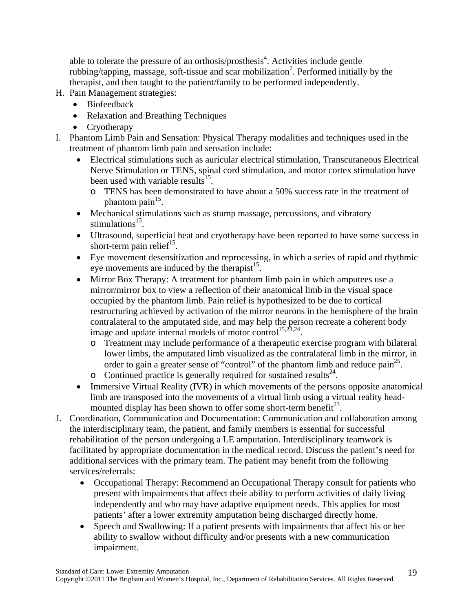able to tolerate the pressure of an orthosis/prosthesis<sup>4</sup>. Activities include gentle rubbing/tapping, massage, soft-tissue and scar mobilization<sup>7</sup>. Performed initially by the therapist, and then taught to the patient/family to be performed independently.

- H. Pain Management strategies:
	- Biofeedback
	- Relaxation and Breathing Techniques
	- Cryotherapy
- I. Phantom Limb Pain and Sensation: Physical Therapy modalities and techniques used in the treatment of phantom limb pain and sensation include:
	- Electrical stimulations such as auricular electrical stimulation, Transcutaneous Electrical Nerve Stimulation or TENS, spinal cord stimulation, and motor cortex stimulation have been used with variable results $^{15}$ .
		- o TENS has been demonstrated to have about a 50% success rate in the treatment of phantom pain $15$ .
	- Mechanical stimulations such as stump massage, percussions, and vibratory stimulations<sup>15</sup>.
	- Ultrasound, superficial heat and cryotherapy have been reported to have some success in short-term pain relief<sup>15</sup>.
	- Eye movement desensitization and reprocessing, in which a series of rapid and rhythmic eye movements are induced by the therapist<sup>15</sup>.
	- Mirror Box Therapy: A treatment for phantom limb pain in which amputees use a mirror/mirror box to view a reflection of their anatomical limb in the visual space occupied by the phantom limb. Pain relief is hypothesized to be due to cortical restructuring achieved by activation of the mirror neurons in the hemisphere of the brain contralateral to the amputated side, and may help the person recreate a coherent body image and update internal models of motor control<sup>15,23,24</sup>.
		- o Treatment may include performance of a therapeutic exercise program with bilateral lower limbs, the amputated limb visualized as the contralateral limb in the mirror, in order to gain a greater sense of "control" of the phantom limb and reduce  $\text{pain}^{25}$ .
		- o Continued practice is generally required for sustained results  $24$ .
	- Immersive Virtual Reality (IVR) in which movements of the persons opposite anatomical limb are transposed into the movements of a virtual limb using a virtual reality headmounted display has been shown to offer some short-term benefit<sup>23</sup>.
- J. Coordination, Communication and Documentation: Communication and collaboration among the interdisciplinary team, the patient, and family members is essential for successful rehabilitation of the person undergoing a LE amputation. Interdisciplinary teamwork is facilitated by appropriate documentation in the medical record. Discuss the patient's need for additional services with the primary team. The patient may benefit from the following services/referrals:
	- Occupational Therapy: Recommend an Occupational Therapy consult for patients who present with impairments that affect their ability to perform activities of daily living independently and who may have adaptive equipment needs. This applies for most patients' after a lower extremity amputation being discharged directly home.
	- Speech and Swallowing: If a patient presents with impairments that affect his or her ability to swallow without difficulty and/or presents with a new communication impairment.

19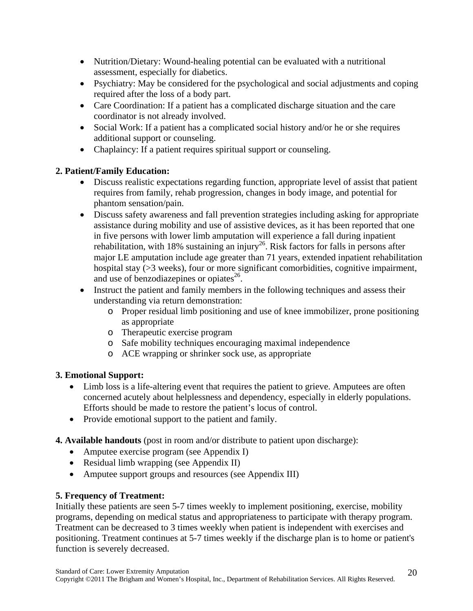- Nutrition/Dietary: Wound-healing potential can be evaluated with a nutritional assessment, especially for diabetics.
- Psychiatry: May be considered for the psychological and social adjustments and coping required after the loss of a body part.
- Care Coordination: If a patient has a complicated discharge situation and the care coordinator is not already involved.
- Social Work: If a patient has a complicated social history and/or he or she requires additional support or counseling.
- Chaplaincy: If a patient requires spiritual support or counseling.

# **2. Patient/Family Education:**

- Discuss realistic expectations regarding function, appropriate level of assist that patient requires from family, rehab progression, changes in body image, and potential for phantom sensation/pain.
- Discuss safety awareness and fall prevention strategies including asking for appropriate assistance during mobility and use of assistive devices, as it has been reported that one in five persons with lower limb amputation will experience a fall during inpatient rehabilitation, with 18% sustaining an injury<sup>26</sup>. Risk factors for falls in persons after major LE amputation include age greater than 71 years, extended inpatient rehabilitation hospital stay ( $>3$  weeks), four or more significant comorbidities, cognitive impairment, and use of benzodiazepines or opiates $^{26}$ .
- Instruct the patient and family members in the following techniques and assess their understanding via return demonstration:
	- o Proper residual limb positioning and use of knee immobilizer, prone positioning as appropriate
	- o Therapeutic exercise program
	- o Safe mobility techniques encouraging maximal independence
	- o ACE wrapping or shrinker sock use, as appropriate

## **3. Emotional Support:**

- Limb loss is a life-altering event that requires the patient to grieve. Amputees are often concerned acutely about helplessness and dependency, especially in elderly populations. Efforts should be made to restore the patient's locus of control.
- Provide emotional support to the patient and family.
- **4. Available handouts** (post in room and/or distribute to patient upon discharge):
	- Amputee exercise program (see Appendix I)
	- Residual limb wrapping (see Appendix II)
	- Amputee support groups and resources (see Appendix III)

## **5. Frequency of Treatment:**

Initially these patients are seen 5-7 times weekly to implement positioning, exercise, mobility programs, depending on medical status and appropriateness to participate with therapy program. Treatment can be decreased to 3 times weekly when patient is independent with exercises and positioning. Treatment continues at 5-7 times weekly if the discharge plan is to home or patient's function is severely decreased.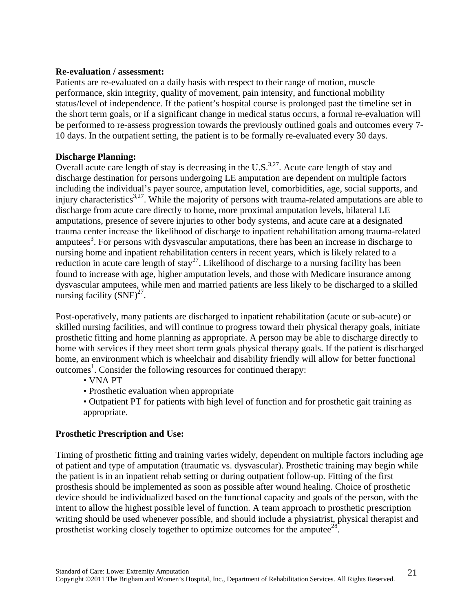#### **Re-evaluation / assessment:**

Patients are re-evaluated on a daily basis with respect to their range of motion, muscle performance, skin integrity, quality of movement, pain intensity, and functional mobility status/level of independence. If the patient's hospital course is prolonged past the timeline set in the short term goals, or if a significant change in medical status occurs, a formal re-evaluation will be performed to re-assess progression towards the previously outlined goals and outcomes every 7- 10 days. In the outpatient setting, the patient is to be formally re-evaluated every 30 days.

## **Discharge Planning:**

Overall acute care length of stay is decreasing in the U.S.<sup>3,27</sup>. Acute care length of stay and discharge destination for persons undergoing LE amputation are dependent on multiple factors including the individual's payer source, amputation level, comorbidities, age, social supports, and injury characteristics<sup>3,27</sup>. While the majority of persons with trauma-related amputations are able to discharge from acute care directly to home, more proximal amputation levels, bilateral LE amputations, presence of severe injuries to other body systems, and acute care at a designated trauma center increase the likelihood of discharge to inpatient rehabilitation among trauma-related amputees<sup>3</sup>. For persons with dysvascular amputations, there has been an increase in discharge to nursing home and inpatient rehabilitation centers in recent years, which is likely related to a reduction in acute care length of  $stay^{27}$ . Likelihood of discharge to a nursing facility has been found to increase with age, higher amputation levels, and those with Medicare insurance among dysvascular amputees, while men and married patients are less likely to be discharged to a skilled nursing facility  $(SNF)^{27}$ .

Post-operatively, many patients are discharged to inpatient rehabilitation (acute or sub-acute) or skilled nursing facilities, and will continue to progress toward their physical therapy goals, initiate prosthetic fitting and home planning as appropriate. A person may be able to discharge directly to home with services if they meet short term goals physical therapy goals. If the patient is discharged home, an environment which is wheelchair and disability friendly will allow for better functional outcomes<sup>1</sup>. Consider the following resources for continued therapy:

- VNA PT
- Prosthetic evaluation when appropriate
- Outpatient PT for patients with high level of function and for prosthetic gait training as appropriate.

## **Prosthetic Prescription and Use:**

Timing of prosthetic fitting and training varies widely, dependent on multiple factors including age of patient and type of amputation (traumatic vs. dysvascular). Prosthetic training may begin while the patient is in an inpatient rehab setting or during outpatient follow-up. Fitting of the first prosthesis should be implemented as soon as possible after wound healing. Choice of prosthetic device should be individualized based on the functional capacity and goals of the person, with the intent to allow the highest possible level of function. A team approach to prosthetic prescription writing should be used whenever possible, and should include a physiatrist, physical therapist and prosthetist working closely together to optimize outcomes for the amputee<sup>28</sup>.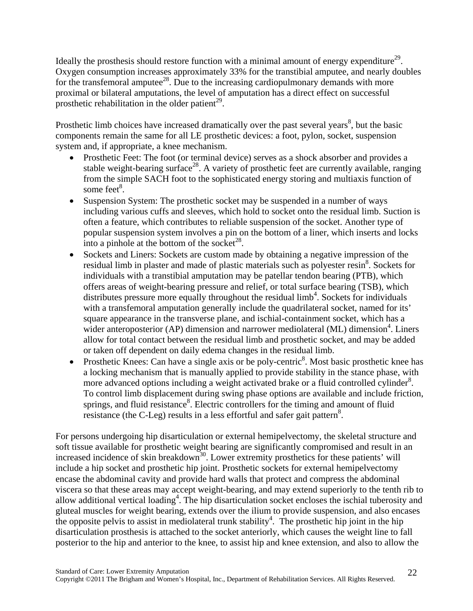Ideally the prosthesis should restore function with a minimal amount of energy expenditure<sup>29</sup>. Oxygen consumption increases approximately 33% for the transtibial amputee, and nearly doubles for the transfemoral amputee<sup>28</sup>. Due to the increasing cardiopulmonary demands with more proximal or bilateral amputations, the level of amputation has a direct effect on successful prosthetic rehabilitation in the older patient<sup>29</sup>.

Prosthetic limb choices have increased dramatically over the past several years $\delta$ , but the basic components remain the same for all LE prosthetic devices: a foot, pylon, socket, suspension system and, if appropriate, a knee mechanism.

- Prosthetic Feet: The foot (or terminal device) serves as a shock absorber and provides a stable weight-bearing surface<sup>28</sup>. A variety of prosthetic feet are currently available, ranging from the simple SACH foot to the sophisticated energy storing and multiaxis function of some feet<sup>8</sup>.
- Suspension System: The prosthetic socket may be suspended in a number of ways including various cuffs and sleeves, which hold to socket onto the residual limb. Suction is often a feature, which contributes to reliable suspension of the socket. Another type of popular suspension system involves a pin on the bottom of a liner, which inserts and locks into a pinhole at the bottom of the socket $^{28}$ .
- Sockets and Liners: Sockets are custom made by obtaining a negative impression of the residual limb in plaster and made of plastic materials such as polyester resin<sup>8</sup>. Sockets for individuals with a transtibial amputation may be patellar tendon bearing (PTB), which offers areas of weight-bearing pressure and relief, or total surface bearing (TSB), which distributes pressure more equally throughout the residual  $\text{limb}^4$ . Sockets for individuals with a transfemoral amputation generally include the quadrilateral socket, named for its' square appearance in the transverse plane, and ischial-containment socket, which has a wider anteroposterior (AP) dimension and narrower mediolateral (ML) dimension<sup>4</sup>. Liners allow for total contact between the residual limb and prosthetic socket, and may be added or taken off dependent on daily edema changes in the residual limb.
- Prosthetic Knees: Can have a single axis or be poly-centric<sup>8</sup>. Most basic prosthetic knee has a locking mechanism that is manually applied to provide stability in the stance phase, with more advanced options including a weight activated brake or a fluid controlled cylinder<sup>8</sup>. To control limb displacement during swing phase options are available and include friction, springs, and fluid resistance<sup>8</sup>. Electric controllers for the timing and amount of fluid resistance (the C-Leg) results in a less effortful and safer gait pattern<sup>8</sup>.

For persons undergoing hip disarticulation or external hemipelvectomy, the skeletal structure and soft tissue available for prosthetic weight bearing are significantly compromised and result in an increased incidence of skin breakdown<sup>30</sup>. Lower extremity prosthetics for these patients' will include a hip socket and prosthetic hip joint. Prosthetic sockets for external hemipelvectomy encase the abdominal cavity and provide hard walls that protect and compress the abdominal viscera so that these areas may accept weight-bearing, and may extend superiorly to the tenth rib to allow additional vertical loading<sup>4</sup>. The hip disarticulation socket encloses the ischial tuberosity and gluteal muscles for weight bearing, extends over the ilium to provide suspension, and also encases the opposite pelvis to assist in mediolateral trunk stability<sup>4</sup>. The prosthetic hip joint in the hip disarticulation prosthesis is attached to the socket anteriorly, which causes the weight line to fall posterior to the hip and anterior to the knee, to assist hip and knee extension, and also to allow the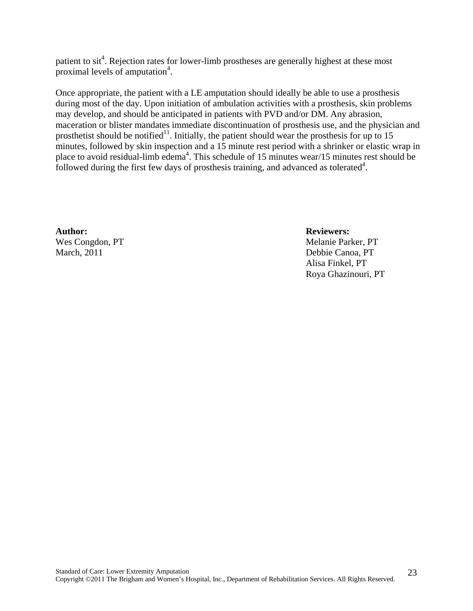patient to  $s$ it<sup>4</sup>. Rejection rates for lower-limb prostheses are generally highest at these most proximal levels of amputation<sup>4</sup>.

Once appropriate, the patient with a LE amputation should ideally be able to use a prosthesis during most of the day. Upon initiation of ambulation activities with a prosthesis, skin problems may develop, and should be anticipated in patients with PVD and/or DM. Any abrasion, maceration or blister mandates immediate discontinuation of prosthesis use, and the physician and prosthetist should be notified<sup>11</sup>. Initially, the patient should wear the prosthesis for up to 15 minutes, followed by skin inspection and a 15 minute rest period with a shrinker or elastic wrap in place to avoid residual-limb edema<sup>4</sup>. This schedule of 15 minutes wear/15 minutes rest should be followed during the first few days of prosthesis training, and advanced as tolerated<sup>4</sup>.

**Author: Reviewers:**  March, 2011 Debbie Canoa, PT

Wes Congdon, PT Melanie Parker, PT Alisa Finkel, PT Roya Ghazinouri, PT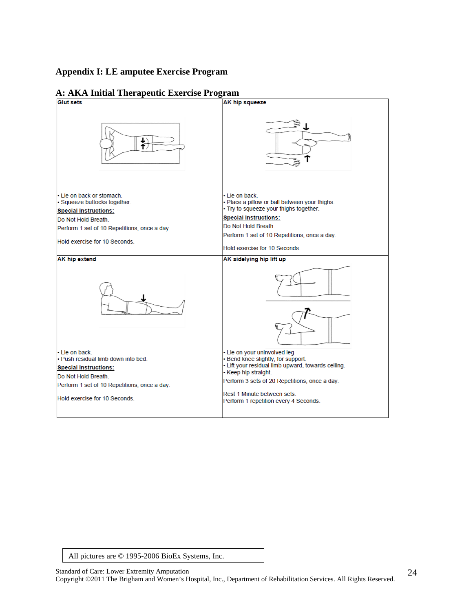## **Appendix I: LE amputee Exercise Program**

| • Lie on back.<br>. Place a pillow or ball between your thighs.<br>· Try to squeeze your thighs together.<br><b>Special Instructions:</b><br>Do Not Hold Breath.<br>Perform 1 set of 10 Repetitions, once a day.<br>Hold exercise for 10 Seconds.                         |
|---------------------------------------------------------------------------------------------------------------------------------------------------------------------------------------------------------------------------------------------------------------------------|
| AK sidelying hip lift up                                                                                                                                                                                                                                                  |
|                                                                                                                                                                                                                                                                           |
| • Lie on your uninvolved leg<br>· Bend knee slightly, for support.<br>• Lift your residual limb upward, towards ceiling.<br>• Keep hip straight.<br>Perform 3 sets of 20 Repetitions, once a day.<br>Rest 1 Minute between sets.<br>Perform 1 repetition every 4 Seconds. |
|                                                                                                                                                                                                                                                                           |

# **A: AKA Initial Therapeutic Exercise Program**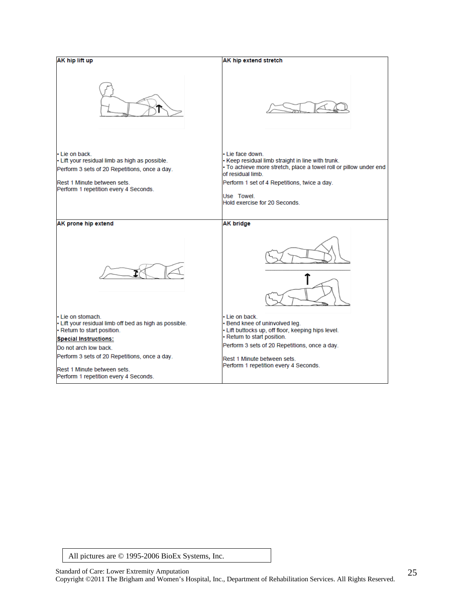| AK hip lift up                                                                                                                                                                           | AK hip extend stretch                                                                                                                                                                                                                                         |
|------------------------------------------------------------------------------------------------------------------------------------------------------------------------------------------|---------------------------------------------------------------------------------------------------------------------------------------------------------------------------------------------------------------------------------------------------------------|
|                                                                                                                                                                                          |                                                                                                                                                                                                                                                               |
| • Lie on back<br>- Lift your residual limb as high as possible.<br>Perform 3 sets of 20 Repetitions, once a day.<br>Rest 1 Minute between sets.<br>Perform 1 repetition every 4 Seconds. | · Lie face down<br>• Keep residual limb straight in line with trunk.<br>· To achieve more stretch, place a towel roll or pillow under end<br>of residual limb.<br>Perform 1 set of 4 Repetitions, twice a day.<br>Use Towel.<br>Hold exercise for 20 Seconds. |
| AK prone hip extend                                                                                                                                                                      | <b>AK bridge</b>                                                                                                                                                                                                                                              |
|                                                                                                                                                                                          |                                                                                                                                                                                                                                                               |
| • Lie on stomach.<br>- Lift your residual limb off bed as high as possible.<br>- Return to start position.                                                                               | • Lie on back.<br>• Bend knee of uninvolved leg.<br>· Lift buttocks up, off floor, keeping hips level.<br>· Return to start position.                                                                                                                         |
| <b>Special Instructions:</b>                                                                                                                                                             | Perform 3 sets of 20 Repetitions, once a day.                                                                                                                                                                                                                 |
| Do not arch low back.                                                                                                                                                                    |                                                                                                                                                                                                                                                               |
| Perform 3 sets of 20 Repetitions, once a day.<br>Rest 1 Minute between sets.<br>Perform 1 repetition every 4 Seconds.                                                                    | Rest 1 Minute between sets.<br>Perform 1 repetition every 4 Seconds.                                                                                                                                                                                          |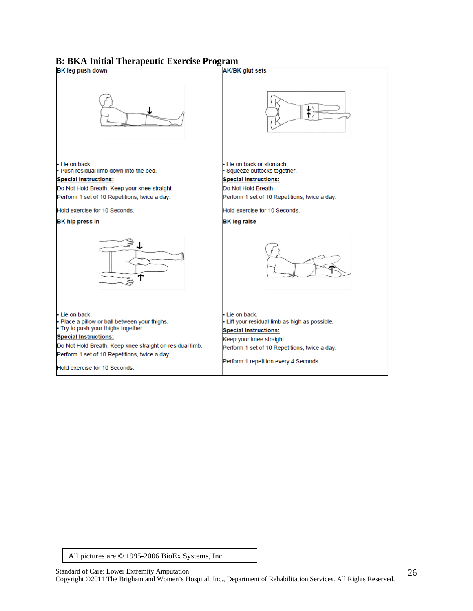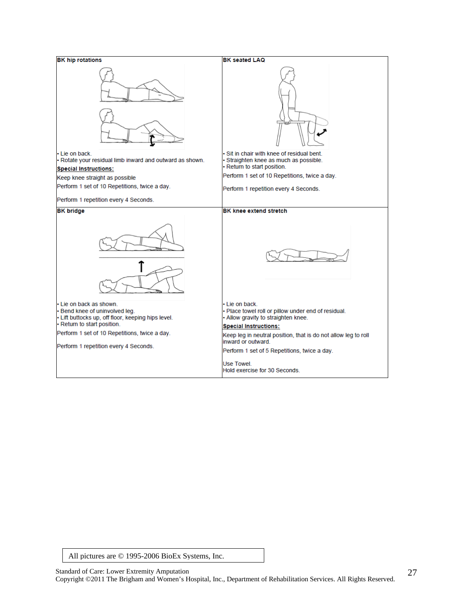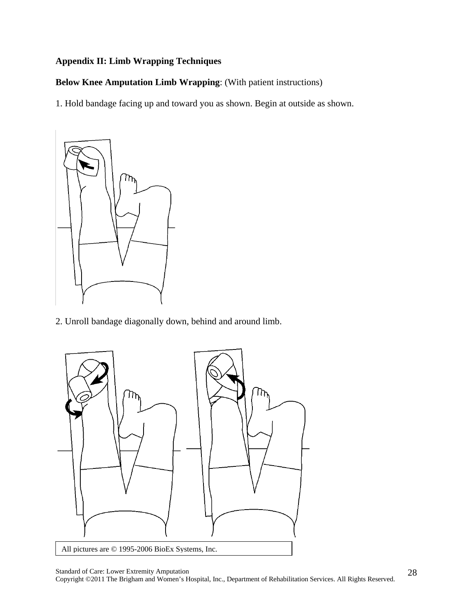# **Appendix II: Limb Wrapping Techniques**

**Below Knee Amputation Limb Wrapping**: (With patient instructions)

1. Hold bandage facing up and toward you as shown. Begin at outside as shown.



2. Unroll bandage diagonally down, behind and around limb.

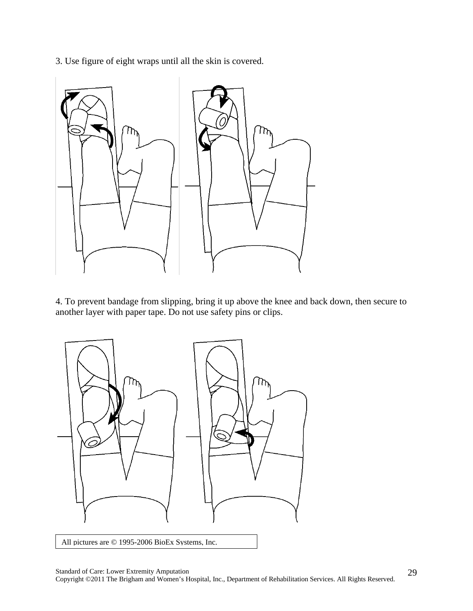3. Use figure of eight wraps until all the skin is covered.



4. To prevent bandage from slipping, bring it up above the knee and back down, then secure to another layer with paper tape. Do not use safety pins or clips.

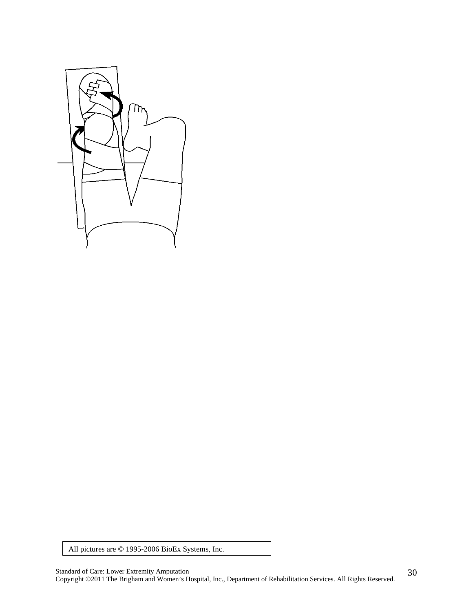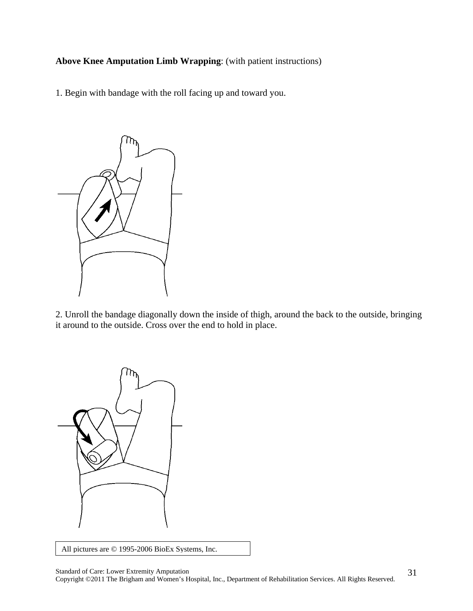**Above Knee Amputation Limb Wrapping**: (with patient instructions)

1. Begin with bandage with the roll facing up and toward you.



2. Unroll the bandage diagonally down the inside of thigh, around the back to the outside, bringing it around to the outside. Cross over the end to hold in place.



All pictures are © 1995-2006 BioEx Systems, Inc.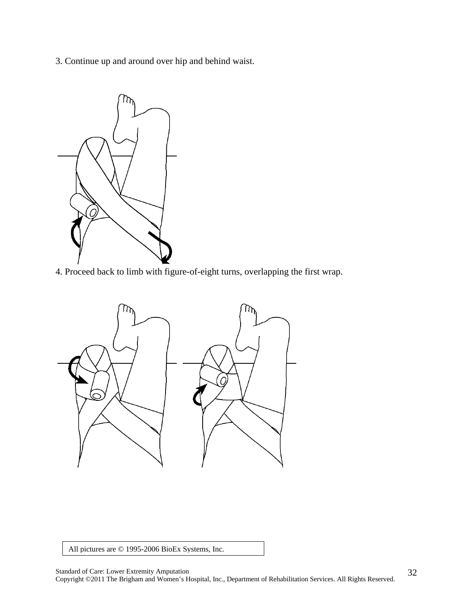3. Continue up and around over hip and behind waist.



4. Proceed back to limb with figure-of-eight turns, overlapping the first wrap.

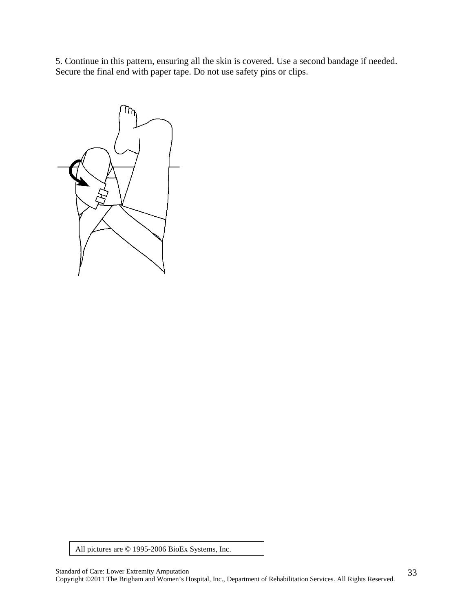5. Continue in this pattern, ensuring all the skin is covered. Use a second bandage if needed. Secure the final end with paper tape. Do not use safety pins or clips.

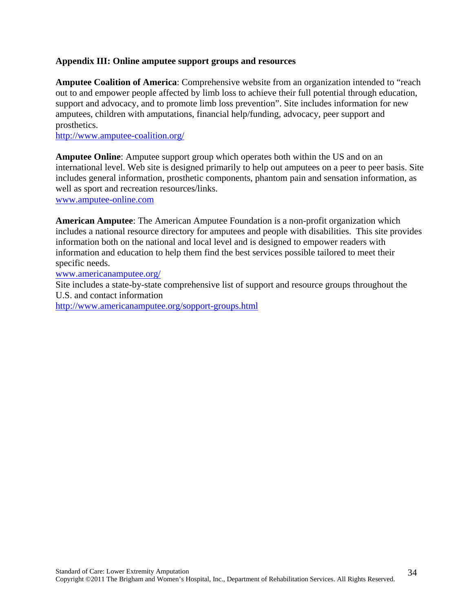#### **Appendix III: Online amputee support groups and resources**

**Amputee Coalition of America**: Comprehensive website from an organization intended to "reach out to and empower people affected by limb loss to achieve their full potential through education, support and advocacy, and to promote limb loss prevention". Site includes information for new amputees, children with amputations, financial help/funding, advocacy, peer support and prosthetics.

http://www.amputee-coalition.org/

**Amputee Online**: Amputee support group which operates both within the US and on an international level. Web site is designed primarily to help out amputees on a peer to peer basis. Site includes general information, prosthetic components, phantom pain and sensation information, as well as sport and recreation resources/links. www.amputee-online.com

**American Amputee**: The American Amputee Foundation is a non-profit organization which includes a national resource directory for amputees and people with disabilities. This site provides information both on the national and local level and is designed to empower readers with information and education to help them find the best services possible tailored to meet their specific needs.

www.americanamputee.org/

Site includes a state-by-state comprehensive list of support and resource groups throughout the U.S. and contact information http://www.americanamputee.org/sopport-groups.html

Standard of Care: Lower Extremity Amputation Copyright ©2011 The Brigham and Women's Hospital, Inc., Department of Rehabilitation Services. All Rights Reserved.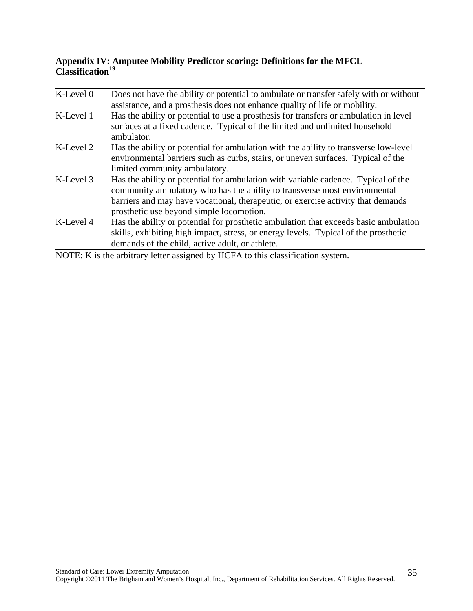## **Appendix IV: Amputee Mobility Predictor scoring: Definitions for the MFCL**  Classification<sup>19</sup>

| K-Level 0 | Does not have the ability or potential to ambulate or transfer safely with or without<br>assistance, and a prosthesis does not enhance quality of life or mobility.                                                                                                                            |
|-----------|------------------------------------------------------------------------------------------------------------------------------------------------------------------------------------------------------------------------------------------------------------------------------------------------|
| K-Level 1 | Has the ability or potential to use a prosthesis for transfers or ambulation in level<br>surfaces at a fixed cadence. Typical of the limited and unlimited household<br>ambulator.                                                                                                             |
| K-Level 2 | Has the ability or potential for ambulation with the ability to transverse low-level<br>environmental barriers such as curbs, stairs, or uneven surfaces. Typical of the<br>limited community ambulatory.                                                                                      |
| K-Level 3 | Has the ability or potential for ambulation with variable cadence. Typical of the<br>community ambulatory who has the ability to transverse most environmental<br>barriers and may have vocational, therapeutic, or exercise activity that demands<br>prosthetic use beyond simple locomotion. |
| K-Level 4 | Has the ability or potential for prosthetic ambulation that exceeds basic ambulation<br>skills, exhibiting high impact, stress, or energy levels. Typical of the prosthetic<br>demands of the child, active adult, or athlete.                                                                 |

NOTE: K is the arbitrary letter assigned by HCFA to this classification system.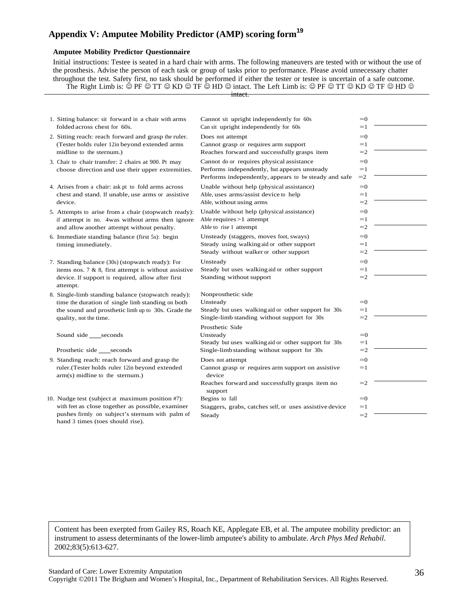# **Appendix V: Amputee Mobility Predictor (AMP) scoring form<sup>19</sup>**

#### **Amputee Mobility Predictor Questionnaire**

Initial instructions: Testee is seated in a hard chair with arms. The following maneuvers are tested with or without the use of the prosthesis. Advise the person of each task or group of tasks prior to performance. Please avoid unnecessary chatter throughout the test. Safety first, no task should be performed if either the tester or testee is uncertain of a safe outcome. The Right Limb is:  $\circledcirc$  PF  $\circledcirc$  TT  $\circledcirc$  KD  $\circledcirc$  TF  $\circledcirc$  HD  $\circledcirc$  intact. The Left Limb is:  $\circledcirc$  PF  $\circledcirc$  TT  $\circledcirc$  KD  $\circledcirc$  TF  $\circledcirc$  HD  $\circledcirc$ 

intact.

| 1. Sitting balance: sit forward in a chair with arms                                | Cannot sit upright independently for 60s                    | $=0$ |  |
|-------------------------------------------------------------------------------------|-------------------------------------------------------------|------|--|
| folded across chest for 60s.                                                        | Can sit upright independently for 60s                       | $=1$ |  |
| 2. Sitting reach: reach forward and grasp the ruler.                                | Does not attempt                                            | $=0$ |  |
| (Tester holds ruler 12in beyond extended arms                                       | Cannot grasp or requires arm support                        | $=1$ |  |
| midline to the sternum.)                                                            | Reaches forward and successfully grasps item                | $=2$ |  |
| 3. Chair to chair transfer: 2 chairs at 900. Pt may                                 | Cannot do or requires physical assistance                   | $=0$ |  |
| choose direction and use their upper extremities.                                   | Performs independently, but appears unsteady                | $=1$ |  |
|                                                                                     | Performs independently, appears to be steady and safe       | $=2$ |  |
| 4. Arises from a chair: ask pt to fold arms across                                  | Unable without help (physical assistance)                   | $=0$ |  |
| chest and stand. If unable, use arms or assistive                                   | Able, uses arms/assist device to help                       | $=1$ |  |
| device.                                                                             | Able, without using arms                                    | $=2$ |  |
| 5. Attempts to arise from a chair (stopwatch ready):                                | Unable without help (physical assistance)                   | $=0$ |  |
| if attempt in no. 4was without arms then ignore                                     | Able requires $>1$ attempt                                  | $=1$ |  |
| and allow another attempt without penalty.                                          | Able to rise 1 attempt                                      | $=2$ |  |
| 6. Immediate standing balance (first 5s): begin                                     | Unsteady (staggers, moves foot, sways)                      | $=0$ |  |
| timing immediately.                                                                 | Steady using walking aid or other support                   | $=1$ |  |
|                                                                                     | Steady without walker or other support                      | $=2$ |  |
| 7. Standing balance (30s) (stopwatch ready): For                                    | Unsteady                                                    | $=0$ |  |
| items nos. 7 $\&$ 8, first attempt is without assistive                             | Steady but uses walking aid or other support                | $=1$ |  |
| device. If support is required, allow after first                                   | Standing without support                                    | $=2$ |  |
| attempt.                                                                            |                                                             |      |  |
| 8. Single-limb standing balance (stopwatch ready):                                  | Nonprosthetic side                                          |      |  |
| time the duration of single limb standing on both                                   | Unsteady                                                    | $=0$ |  |
| the sound and prosthetic limb up to 30s. Grade the                                  | Steady but uses walking aid or other support for 30s        | $=1$ |  |
| quality, not the time.                                                              | Single-limb standing without support for 30s                | $=2$ |  |
|                                                                                     | Prosthetic Side                                             |      |  |
| Sound side seconds                                                                  | Unsteady                                                    | $=0$ |  |
|                                                                                     | Steady but uses walking aid or other support for 30s        | $=1$ |  |
| Prosthetic side ____seconds                                                         | Single-limb standing without support for 30s                | $=2$ |  |
| 9. Standing reach: reach forward and grasp the                                      | Does not attempt                                            | $=0$ |  |
| ruler.(Tester holds ruler 12in beyond extended<br>$arm(s)$ midline to the sternum.) | Cannot grasp or requires arm support on assistive<br>device | $=1$ |  |
|                                                                                     | Reaches forward and successfully grasps item no<br>support  | $=2$ |  |
| 10. Nudge test (subject at maximum position #7):                                    | Begins to fall                                              | $=0$ |  |
| with feet as close together as possible, examiner                                   | Staggers, grabs, catches self, or uses assistive device     | $=1$ |  |
| pushes firmly on subject's sternum with palm of                                     | Steady                                                      | $=2$ |  |
| hand 3 times (toes should rise).                                                    |                                                             |      |  |

Content has been exerpted from Gailey RS, Roach KE, Applegate EB, et al. The amputee mobility predictor: an instrument to assess determinants of the lower-limb amputee's ability to ambulate. *Arch Phys Med Rehabil*. 2002;83(5):613-627.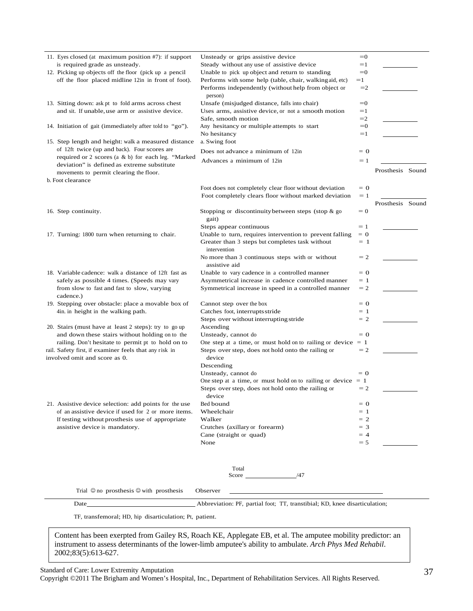|                      | TF, transfemoral; HD, hip disarticulation; Pt, patient.                                                  |                                                                            |                |                  |
|----------------------|----------------------------------------------------------------------------------------------------------|----------------------------------------------------------------------------|----------------|------------------|
|                      | <b>Date</b>                                                                                              | Abbreviation: PF, partial foot; TT, transtibial; KD, knee disarticulation; |                |                  |
|                      | Trial $\odot$ no prosthesis $\odot$ with prosthesis                                                      | Observer                                                                   |                |                  |
|                      |                                                                                                          | Total<br>Score /47                                                         |                |                  |
|                      |                                                                                                          | None                                                                       | $= 5$          |                  |
|                      | assistive device is mandatory.                                                                           | Crutches (axillary or forearm)<br>Cane (straight or quad)                  | $=$ 3<br>$=4$  |                  |
|                      | If testing without prosthesis use of appropriate                                                         | Walker                                                                     | $= 2$          |                  |
|                      | of an assistive device if used for 2 or more items.                                                      | Wheelchair                                                                 | $=$ 1          |                  |
|                      | 21. Assistive device selection: add points for the use                                                   | device<br>Bed bound                                                        | $= 0$          |                  |
|                      |                                                                                                          | Steps over step, does not hold onto the railing or                         | $=2$           |                  |
|                      |                                                                                                          | One step at a time, or must hold on to railing or device $= 1$             |                |                  |
|                      |                                                                                                          | Unsteady, cannot do                                                        | $= 0$          |                  |
|                      | involved omit and score as 0.                                                                            | device<br>Descending                                                       |                |                  |
|                      | rail. Safety first, if examiner feels that any risk in                                                   | Steps over step, does not hold onto the railing or                         | $=2$           |                  |
|                      | railing. Don't hesitate to permit pt to hold on to                                                       | One step at a time, or must hold on to railing or device $= 1$             |                |                  |
|                      | 20. Stairs (must have at least 2 steps): try to go up<br>and down these stairs without holding on to the | Ascending<br>Unsteady, cannot do                                           | $= 0$          |                  |
|                      |                                                                                                          | Steps over without interrupting stride                                     | $= 2$          |                  |
|                      | 4in. in height in the walking path.                                                                      | Catches foot, interrupts stride                                            | $=$ 1          |                  |
|                      | 19. Stepping over obstacle: place a movable box of                                                       | Cannot step over the box                                                   | $= 0$          |                  |
| cadence.)            | from slow to fast and fast to slow, varying                                                              | Symmetrical increase in speed in a controlled manner                       |                |                  |
|                      | safely as possible 4 times. (Speeds may vary                                                             | Asymmetrical increase in cadence controlled manner                         | $= 1$<br>$=2$  |                  |
|                      | 18. Variable cadence: walk a distance of 12ft fast as                                                    | Unable to vary cadence in a controlled manner                              | $= 0$          |                  |
|                      |                                                                                                          | No more than 3 continuous steps with or without<br>assistive aid           | $=2$           |                  |
|                      |                                                                                                          | Greater than 3 steps but completes task without<br>intervention            |                |                  |
|                      | 17. Turning: 1800 turn when returning to chair.                                                          | Unable to turn, requires intervention to prevent falling                   | $= 0$<br>$=$ 1 |                  |
|                      |                                                                                                          | Steps appear continuous                                                    | $=1$           |                  |
|                      |                                                                                                          | gait)                                                                      |                |                  |
| 16. Step continuity. |                                                                                                          | Stopping or discontinuity between steps (stop $\&$ go                      | $= 0$          | Prosthesis Sound |
|                      |                                                                                                          | Foot completely clears floor without marked deviation                      | $=1$           |                  |
|                      |                                                                                                          | Foot does not completely clear floor without deviation                     | $= 0$          |                  |
| b. Foot clearance    |                                                                                                          |                                                                            |                |                  |
|                      | deviation" is defined as extreme substitute<br>movements to permit clearing the floor.                   |                                                                            |                | Prosthesis Sound |
|                      | required or 2 scores (a $\& b$ ) for each leg. "Marked                                                   | Advances a minimum of 12in                                                 | $=1$           |                  |
|                      | of 12ft twice (up and back). Four scores are                                                             | Does not advance a minimum of 12in                                         | $= 0$          |                  |
|                      | 15. Step length and height: walk a measured distance                                                     | a. Swing foot                                                              |                |                  |
|                      | 14. Initiation of gait (immediately after told to "go").                                                 | Any hesitancy or multiple attempts to start<br>No hesitancy                | $=0$<br>$=1$   |                  |
|                      |                                                                                                          | Safe, smooth motion                                                        | $=2$           |                  |
|                      | and sit. If unable, use arm or assistive device.                                                         | Uses arms, assistive device, or not a smooth motion                        | $=1$           |                  |
|                      | 13. Sitting down: ask pt to fold arms across chest                                                       | Unsafe (misjudged distance, falls into chair)                              | $=0$           |                  |
|                      |                                                                                                          | Performs independently (without help from object or<br>person)             | $=2$           |                  |
|                      | off the floor placed midline 12in in front of foot).                                                     | Performs with some help (table, chair, walking aid, etc)                   | $=1$           |                  |
|                      | 12. Picking up objects off the floor (pick up a pencil                                                   | Unable to pick up object and return to standing                            | $=0$           |                  |
|                      | is required grade as unsteady.                                                                           | Steady without any use of assistive device                                 | $=1$           |                  |
|                      | 11. Eyes closed (at maximum position #7): if support                                                     | Unsteady or grips assistive device                                         | $=0$           |                  |

Content has been exerpted from Gailey RS, Roach KE, Applegate EB, et al. The amputee mobility predictor: an instrument to assess determinants of the lower-limb amputee's ability to ambulate. *Arch Phys Med Rehabil*. 2002;83(5):613-627.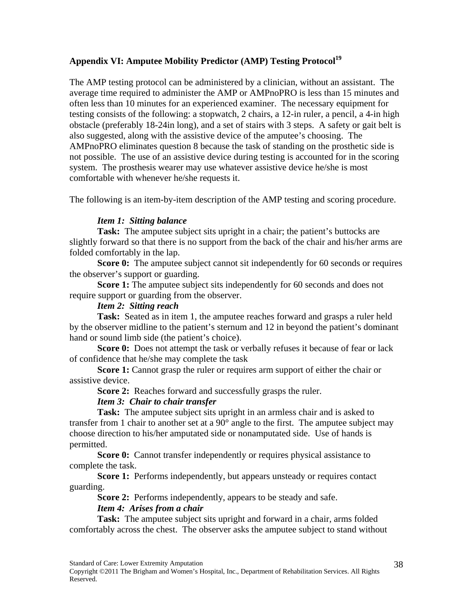## Appendix VI: Amputee Mobility Predictor (AMP) Testing Protocol<sup>19</sup>

The AMP testing protocol can be administered by a clinician, without an assistant. The average time required to administer the AMP or AMPnoPRO is less than 15 minutes and often less than 10 minutes for an experienced examiner. The necessary equipment for testing consists of the following: a stopwatch, 2 chairs, a 12-in ruler, a pencil, a 4-in high obstacle (preferably 18-24in long), and a set of stairs with 3 steps. A safety or gait belt is also suggested, along with the assistive device of the amputee's choosing. The AMPnoPRO eliminates question 8 because the task of standing on the prosthetic side is not possible. The use of an assistive device during testing is accounted for in the scoring system. The prosthesis wearer may use whatever assistive device he/she is most comfortable with whenever he/she requests it.

The following is an item-by-item description of the AMP testing and scoring procedure.

#### *Item 1: Sitting balance*

**Task:** The amputee subject sits upright in a chair; the patient's buttocks are slightly forward so that there is no support from the back of the chair and his/her arms are folded comfortably in the lap.

**Score 0:** The amputee subject cannot sit independently for 60 seconds or requires the observer's support or guarding.

**Score 1:** The amputee subject sits independently for 60 seconds and does not require support or guarding from the observer.

#### *Item 2: Sitting reach*

**Task:** Seated as in item 1, the amputee reaches forward and grasps a ruler held by the observer midline to the patient's sternum and 12 in beyond the patient's dominant hand or sound limb side (the patient's choice).

**Score 0:** Does not attempt the task or verbally refuses it because of fear or lack of confidence that he/she may complete the task

**Score 1:** Cannot grasp the ruler or requires arm support of either the chair or assistive device.

**Score 2:** Reaches forward and successfully grasps the ruler.

#### *Item 3: Chair to chair transfer*

**Task:** The amputee subject sits upright in an armless chair and is asked to transfer from 1 chair to another set at a 90° angle to the first. The amputee subject may choose direction to his/her amputated side or nonamputated side. Use of hands is permitted.

**Score 0:** Cannot transfer independently or requires physical assistance to complete the task.

**Score 1:** Performs independently, but appears unsteady or requires contact guarding.

**Score 2:** Performs independently, appears to be steady and safe.

#### *Item 4: Arises from a chair*

**Task:** The amputee subject sits upright and forward in a chair, arms folded comfortably across the chest. The observer asks the amputee subject to stand without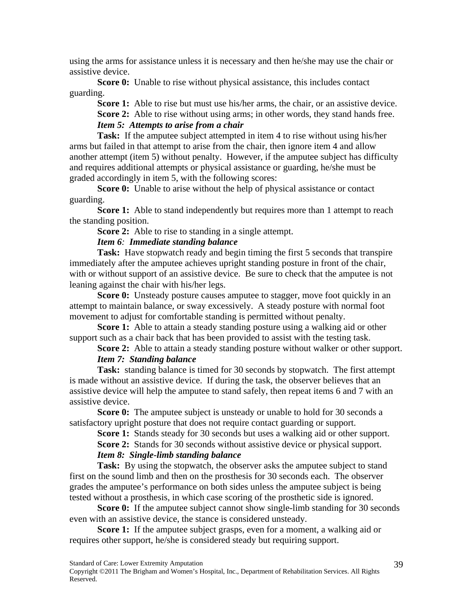using the arms for assistance unless it is necessary and then he/she may use the chair or assistive device.

**Score 0:** Unable to rise without physical assistance, this includes contact guarding.

**Score 1:** Able to rise but must use his/her arms, the chair, or an assistive device. **Score 2:** Able to rise without using arms; in other words, they stand hands free. *Item 5: Attempts to arise from a chair* 

**Task:** If the amputee subject attempted in item 4 to rise without using his/her arms but failed in that attempt to arise from the chair, then ignore item 4 and allow another attempt (item 5) without penalty. However, if the amputee subject has difficulty and requires additional attempts or physical assistance or guarding, he/she must be graded accordingly in item 5, with the following scores:

**Score 0:** Unable to arise without the help of physical assistance or contact guarding.

**Score 1:** Able to stand independently but requires more than 1 attempt to reach the standing position.

**Score 2:** Able to rise to standing in a single attempt.

#### *Item 6: Immediate standing balance*

**Task:** Have stopwatch ready and begin timing the first 5 seconds that transpire immediately after the amputee achieves upright standing posture in front of the chair, with or without support of an assistive device. Be sure to check that the amputee is not leaning against the chair with his/her legs.

**Score 0:** Unsteady posture causes amputee to stagger, move foot quickly in an attempt to maintain balance, or sway excessively. A steady posture with normal foot movement to adjust for comfortable standing is permitted without penalty.

**Score 1:** Able to attain a steady standing posture using a walking aid or other support such as a chair back that has been provided to assist with the testing task.

**Score 2:** Able to attain a steady standing posture without walker or other support. *Item 7: Standing balance* 

**Task:** standing balance is timed for 30 seconds by stopwatch. The first attempt is made without an assistive device. If during the task, the observer believes that an assistive device will help the amputee to stand safely, then repeat items 6 and 7 with an assistive device.

**Score 0:** The amputee subject is unsteady or unable to hold for 30 seconds a satisfactory upright posture that does not require contact guarding or support.

**Score 1:** Stands steady for 30 seconds but uses a walking aid or other support. **Score 2:** Stands for 30 seconds without assistive device or physical support.

## *Item 8: Single-limb standing balance*

**Task:** By using the stopwatch, the observer asks the amputee subject to stand first on the sound limb and then on the prosthesis for 30 seconds each. The observer grades the amputee's performance on both sides unless the amputee subject is being tested without a prosthesis, in which case scoring of the prosthetic side is ignored.

**Score 0:** If the amputee subject cannot show single-limb standing for 30 seconds even with an assistive device, the stance is considered unsteady.

**Score 1:** If the amputee subject grasps, even for a moment, a walking aid or requires other support, he/she is considered steady but requiring support.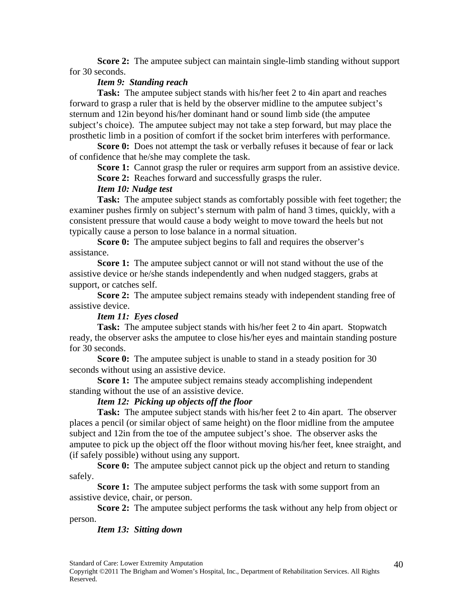**Score 2:** The amputee subject can maintain single-limb standing without support for 30 seconds.

#### *Item 9: Standing reach*

**Task:** The amputee subject stands with his/her feet 2 to 4in apart and reaches forward to grasp a ruler that is held by the observer midline to the amputee subject's sternum and 12in beyond his/her dominant hand or sound limb side (the amputee subject's choice). The amputee subject may not take a step forward, but may place the prosthetic limb in a position of comfort if the socket brim interferes with performance.

**Score 0:** Does not attempt the task or verbally refuses it because of fear or lack of confidence that he/she may complete the task.

**Score 1:** Cannot grasp the ruler or requires arm support from an assistive device. **Score 2:** Reaches forward and successfully grasps the ruler.

#### *Item 10: Nudge test*

**Task:** The amputee subject stands as comfortably possible with feet together; the examiner pushes firmly on subject's sternum with palm of hand 3 times, quickly, with a consistent pressure that would cause a body weight to move toward the heels but not typically cause a person to lose balance in a normal situation.

**Score 0:** The amputee subject begins to fall and requires the observer's assistance.

**Score 1:** The amputee subject cannot or will not stand without the use of the assistive device or he/she stands independently and when nudged staggers, grabs at support, or catches self.

**Score 2:** The amputee subject remains steady with independent standing free of assistive device.

#### *Item 11: Eyes closed*

**Task:** The amputee subject stands with his/her feet 2 to 4in apart. Stopwatch ready, the observer asks the amputee to close his/her eyes and maintain standing posture for 30 seconds.

**Score 0:** The amputee subject is unable to stand in a steady position for 30 seconds without using an assistive device.

**Score 1:** The amputee subject remains steady accomplishing independent standing without the use of an assistive device.

#### *Item 12: Picking up objects off the floor*

**Task:** The amputee subject stands with his/her feet 2 to 4in apart. The observer places a pencil (or similar object of same height) on the floor midline from the amputee subject and 12in from the toe of the amputee subject's shoe. The observer asks the amputee to pick up the object off the floor without moving his/her feet, knee straight, and (if safely possible) without using any support.

**Score 0:** The amputee subject cannot pick up the object and return to standing safely.

**Score 1:** The amputee subject performs the task with some support from an assistive device, chair, or person.

**Score 2:** The amputee subject performs the task without any help from object or person.

#### *Item 13: Sitting down*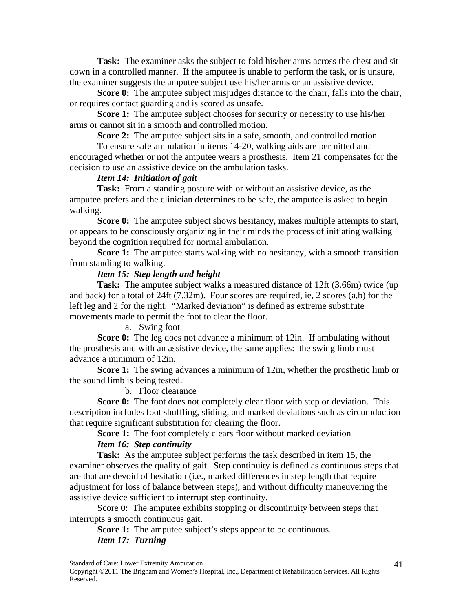**Task:** The examiner asks the subject to fold his/her arms across the chest and sit down in a controlled manner. If the amputee is unable to perform the task, or is unsure, the examiner suggests the amputee subject use his/her arms or an assistive device.

**Score 0:** The amputee subject misjudges distance to the chair, falls into the chair, or requires contact guarding and is scored as unsafe.

**Score 1:** The amputee subject chooses for security or necessity to use his/her arms or cannot sit in a smooth and controlled motion.

**Score 2:** The amputee subject sits in a safe, smooth, and controlled motion.

To ensure safe ambulation in items 14-20, walking aids are permitted and encouraged whether or not the amputee wears a prosthesis. Item 21 compensates for the decision to use an assistive device on the ambulation tasks.

#### *Item 14: Initiation of gait*

**Task:** From a standing posture with or without an assistive device, as the amputee prefers and the clinician determines to be safe, the amputee is asked to begin walking.

**Score 0:** The amputee subject shows hesitancy, makes multiple attempts to start, or appears to be consciously organizing in their minds the process of initiating walking beyond the cognition required for normal ambulation.

**Score 1:** The amputee starts walking with no hesitancy, with a smooth transition from standing to walking.

#### *Item 15: Step length and height*

**Task:** The amputee subject walks a measured distance of 12ft (3.66m) twice (up and back) for a total of 24ft (7.32m). Four scores are required, ie, 2 scores (a,b) for the left leg and 2 for the right. "Marked deviation" is defined as extreme substitute movements made to permit the foot to clear the floor.

a. Swing foot

**Score 0:** The leg does not advance a minimum of 12in. If ambulating without the prosthesis and with an assistive device, the same applies: the swing limb must advance a minimum of 12in.

**Score 1:** The swing advances a minimum of 12in, whether the prosthetic limb or the sound limb is being tested.

b. Floor clearance

**Score 0:** The foot does not completely clear floor with step or deviation. This description includes foot shuffling, sliding, and marked deviations such as circumduction that require significant substitution for clearing the floor.

Score 1: The foot completely clears floor without marked deviation

*Item 16: Step continuity* 

**Task:** As the amputee subject performs the task described in item 15, the examiner observes the quality of gait. Step continuity is defined as continuous steps that are that are devoid of hesitation (i.e., marked differences in step length that require adjustment for loss of balance between steps), and without difficulty maneuvering the assistive device sufficient to interrupt step continuity.

Score 0: The amputee exhibits stopping or discontinuity between steps that interrupts a smooth continuous gait.

**Score 1:** The amputee subject's steps appear to be continuous.

#### *Item 17: Turning*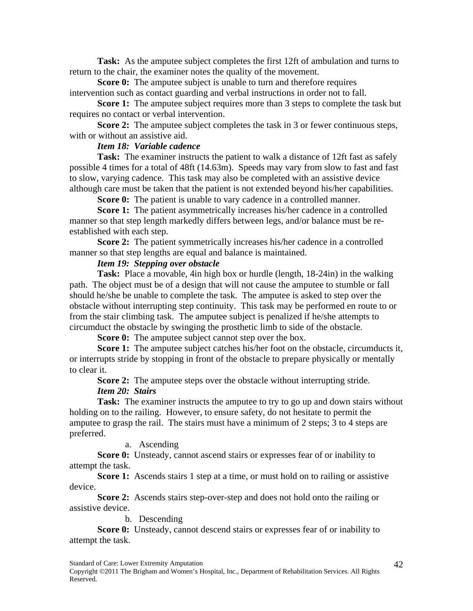**Task:** As the amputee subject completes the first 12ft of ambulation and turns to return to the chair, the examiner notes the quality of the movement.

**Score 0:** The amputee subject is unable to turn and therefore requires intervention such as contact guarding and verbal instructions in order not to fall.

**Score 1:** The amputee subject requires more than 3 steps to complete the task but requires no contact or verbal intervention.

**Score 2:** The amputee subject completes the task in 3 or fewer continuous steps, with or without an assistive aid.

#### *Item 18: Variable cadence*

**Task:** The examiner instructs the patient to walk a distance of 12ft fast as safely possible 4 times for a total of 48ft (14.63m). Speeds may vary from slow to fast and fast to slow, varying cadence. This task may also be completed with an assistive device although care must be taken that the patient is not extended beyond his/her capabilities.

**Score 0:** The patient is unable to vary cadence in a controlled manner.

**Score 1:** The patient asymmetrically increases his/her cadence in a controlled manner so that step length markedly differs between legs, and/or balance must be reestablished with each step.

**Score 2:** The patient symmetrically increases his/her cadence in a controlled manner so that step lengths are equal and balance is maintained.

## *Item 19: Stepping over obstacle*

**Task:** Place a movable, 4in high box or hurdle (length, 18-24in) in the walking path. The object must be of a design that will not cause the amputee to stumble or fall should he/she be unable to complete the task. The amputee is asked to step over the obstacle without interrupting step continuity. This task may be performed en route to or from the stair climbing task. The amputee subject is penalized if he/she attempts to circumduct the obstacle by swinging the prosthetic limb to side of the obstacle.

**Score 0:** The amputee subject cannot step over the box.

**Score 1:** The amputee subject catches his/her foot on the obstacle, circumducts it, or interrupts stride by stopping in front of the obstacle to prepare physically or mentally to clear it.

**Score 2:** The amputee steps over the obstacle without interrupting stride. *Item 20: Stairs* 

**Task:** The examiner instructs the amputee to try to go up and down stairs without holding on to the railing. However, to ensure safety, do not hesitate to permit the amputee to grasp the rail. The stairs must have a minimum of 2 steps; 3 to 4 steps are preferred.

a. Ascending

**Score 0:** Unsteady, cannot ascend stairs or expresses fear of or inability to attempt the task.

**Score 1:** Ascends stairs 1 step at a time, or must hold on to railing or assistive device.

**Score 2:** Ascends stairs step-over-step and does not hold onto the railing or assistive device.

b. Descending

**Score 0:** Unsteady, cannot descend stairs or expresses fear of or inability to attempt the task.

Standard of Care: Lower Extremity Amputation

Copyright ©2011 The Brigham and Women's Hospital, Inc., Department of Rehabilitation Services. All Rights Reserved.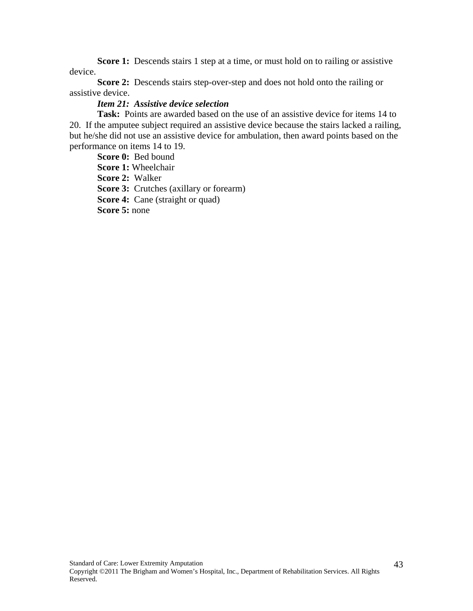**Score 1:** Descends stairs 1 step at a time, or must hold on to railing or assistive device.

**Score 2:** Descends stairs step-over-step and does not hold onto the railing or assistive device.

#### *Item 21: Assistive device selection*

**Task:** Points are awarded based on the use of an assistive device for items 14 to 20. If the amputee subject required an assistive device because the stairs lacked a railing, but he/she did not use an assistive device for ambulation, then award points based on the performance on items 14 to 19.

**Score 0:** Bed bound **Score 1:** Wheelchair **Score 2:** Walker **Score 3:** Crutches (axillary or forearm) **Score 4:** Cane (straight or quad) **Score 5:** none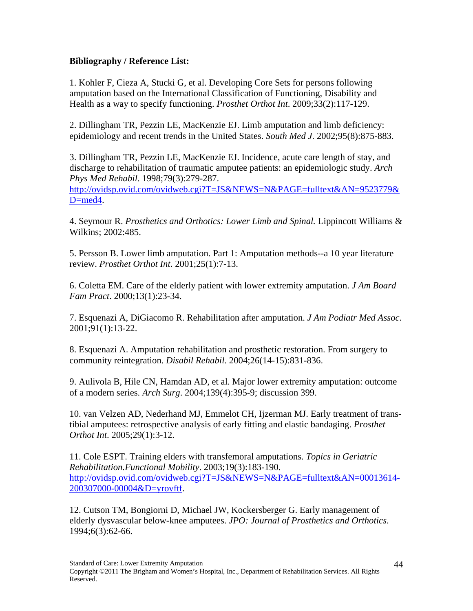## **Bibliography / Reference List:**

D=med4.

1. Kohler F, Cieza A, Stucki G, et al. Developing Core Sets for persons following amputation based on the International Classification of Functioning, Disability and Health as a way to specify functioning. *Prosthet Orthot Int*. 2009;33(2):117-129.

2. Dillingham TR, Pezzin LE, MacKenzie EJ. Limb amputation and limb deficiency: epidemiology and recent trends in the United States. *South Med J*. 2002;95(8):875-883.

3. Dillingham TR, Pezzin LE, MacKenzie EJ. Incidence, acute care length of stay, and discharge to rehabilitation of traumatic amputee patients: an epidemiologic study. *Arch Phys Med Rehabil*. 1998;79(3):279-287. http://ovidsp.ovid.com/ovidweb.cgi?T=JS&NEWS=N&PAGE=fulltext&AN=9523779&

4. Seymour R. *Prosthetics and Orthotics: Lower Limb and Spinal.* Lippincott Williams & Wilkins; 2002:485.

5. Persson B. Lower limb amputation. Part 1: Amputation methods--a 10 year literature review. *Prosthet Orthot Int*. 2001;25(1):7-13.

6. Coletta EM. Care of the elderly patient with lower extremity amputation. *J Am Board Fam Pract*. 2000;13(1):23-34.

7. Esquenazi A, DiGiacomo R. Rehabilitation after amputation. *J Am Podiatr Med Assoc*. 2001;91(1):13-22.

8. Esquenazi A. Amputation rehabilitation and prosthetic restoration. From surgery to community reintegration. *Disabil Rehabil*. 2004;26(14-15):831-836.

9. Aulivola B, Hile CN, Hamdan AD, et al. Major lower extremity amputation: outcome of a modern series. *Arch Surg*. 2004;139(4):395-9; discussion 399.

10. van Velzen AD, Nederhand MJ, Emmelot CH, Ijzerman MJ. Early treatment of transtibial amputees: retrospective analysis of early fitting and elastic bandaging. *Prosthet Orthot Int*. 2005;29(1):3-12.

11. Cole ESPT. Training elders with transfemoral amputations. *Topics in Geriatric Rehabilitation.Functional Mobility*. 2003;19(3):183-190. http://ovidsp.ovid.com/ovidweb.cgi?T=JS&NEWS=N&PAGE=fulltext&AN=00013614- 200307000-00004&D=yrovftf.

12. Cutson TM, Bongiorni D, Michael JW, Kockersberger G. Early management of elderly dysvascular below-knee amputees. *JPO: Journal of Prosthetics and Orthotics*. 1994;6(3):62-66.

Standard of Care: Lower Extremity Amputation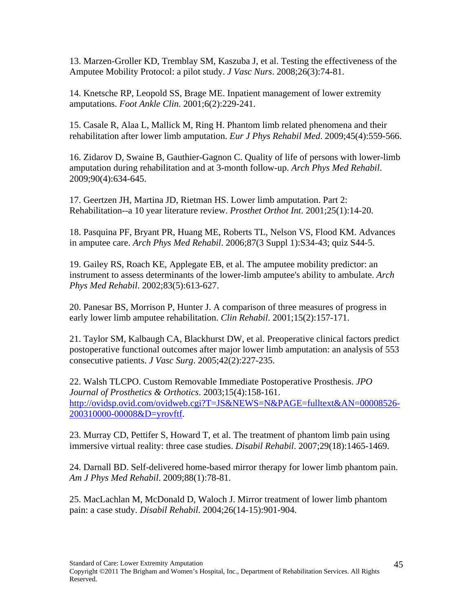13. Marzen-Groller KD, Tremblay SM, Kaszuba J, et al. Testing the effectiveness of the Amputee Mobility Protocol: a pilot study. *J Vasc Nurs*. 2008;26(3):74-81.

14. Knetsche RP, Leopold SS, Brage ME. Inpatient management of lower extremity amputations. *Foot Ankle Clin*. 2001;6(2):229-241.

15. Casale R, Alaa L, Mallick M, Ring H. Phantom limb related phenomena and their rehabilitation after lower limb amputation. *Eur J Phys Rehabil Med*. 2009;45(4):559-566.

16. Zidarov D, Swaine B, Gauthier-Gagnon C. Quality of life of persons with lower-limb amputation during rehabilitation and at 3-month follow-up. *Arch Phys Med Rehabil*. 2009;90(4):634-645.

17. Geertzen JH, Martina JD, Rietman HS. Lower limb amputation. Part 2: Rehabilitation--a 10 year literature review. *Prosthet Orthot Int*. 2001;25(1):14-20.

18. Pasquina PF, Bryant PR, Huang ME, Roberts TL, Nelson VS, Flood KM. Advances in amputee care. *Arch Phys Med Rehabil*. 2006;87(3 Suppl 1):S34-43; quiz S44-5.

19. Gailey RS, Roach KE, Applegate EB, et al. The amputee mobility predictor: an instrument to assess determinants of the lower-limb amputee's ability to ambulate. *Arch Phys Med Rehabil*. 2002;83(5):613-627.

20. Panesar BS, Morrison P, Hunter J. A comparison of three measures of progress in early lower limb amputee rehabilitation. *Clin Rehabil*. 2001;15(2):157-171.

21. Taylor SM, Kalbaugh CA, Blackhurst DW, et al. Preoperative clinical factors predict postoperative functional outcomes after major lower limb amputation: an analysis of 553 consecutive patients. *J Vasc Surg*. 2005;42(2):227-235.

22. Walsh TLCPO. Custom Removable Immediate Postoperative Prosthesis. *JPO Journal of Prosthetics & Orthotics*. 2003;15(4):158-161. http://ovidsp.ovid.com/ovidweb.cgi?T=JS&NEWS=N&PAGE=fulltext&AN=00008526- 200310000-00008&D=yrovftf.

23. Murray CD, Pettifer S, Howard T, et al. The treatment of phantom limb pain using immersive virtual reality: three case studies. *Disabil Rehabil*. 2007;29(18):1465-1469.

24. Darnall BD. Self-delivered home-based mirror therapy for lower limb phantom pain. *Am J Phys Med Rehabil*. 2009;88(1):78-81.

25. MacLachlan M, McDonald D, Waloch J. Mirror treatment of lower limb phantom pain: a case study. *Disabil Rehabil*. 2004;26(14-15):901-904.